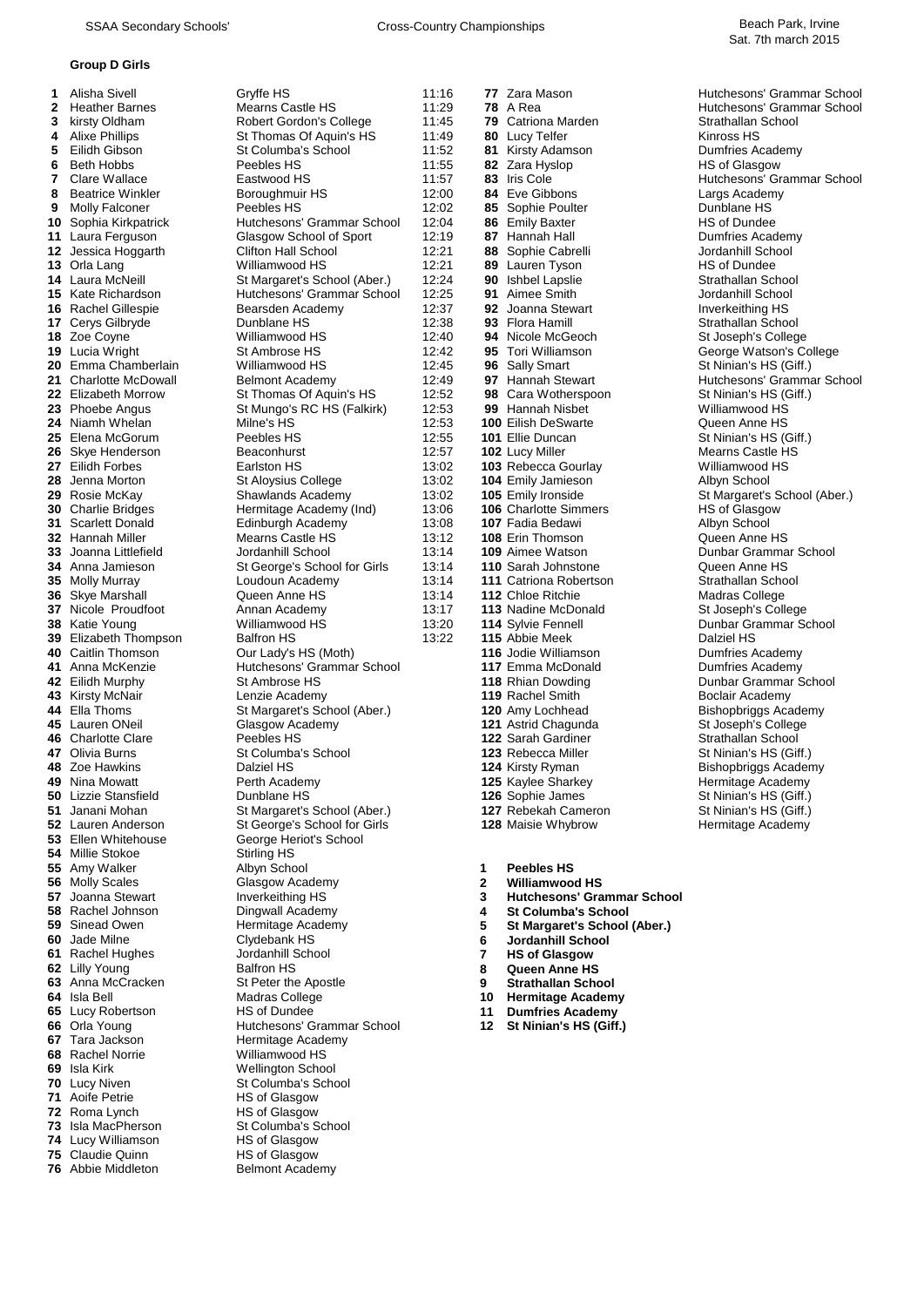#### **Group D Girls**

 Lauren Anderson St George's School for Girls **1288** Maist Christian School for Girls **1288** Maissing Academy Hermitage Academy Hermitage Academy Hermitage Academy Hermitage Academy Hermitage Academy Hermitage Academy Ellen Whitehouse **George Heriot's School**  Millie Stokoe Stirling HS<br>**55** Amy Walker Albyn School Tara Jackson **Hermitage Academy**<br> **68** Rachel Norrie **Harm** Williamwood HS Rachel Norrie **1888** Williamwood HS<br> **69** Isla Kirk **Wellington Scho**  Isla Kirk **Mellington School**<br> **70** Lucy Niven **Columba's** School Lucy Niven St Columba's School<br> **71** Aoife Petrie HS of Glasgow Roma Lynch<br>**73** Isla MacPherson Lucy Williamson **HS of Glasgow**<br>**75** Claudie Quinn **HS of Glasgow** Claudie Quinn<br>**76** Abbie Middleton

 Alisha Sivell Gryffe HS 11:16 **77** Zara Mason Hutchesons' Grammar School Heather Barnes **11:29 <b>78** A Rea HO Hutchesons' Grammar School **3** Kirsty Oldham **Robert Gordon's College** 11:45 **79** Catriona Marden **11:45 Strathallan School**  kirsty Oldham **8 11:45 20 Robert Gordon's College** 11:45 **79** Catriona Marden Strathallan Strathallan Strathallan Strathallan Strathallan Strathallan Strathallan Strathallan Strathallan Strathallan Strathallan Stra Alixe Phillips St Thomas Of Aquin's HS 11:49 **80** Lucy Telfer **5** Eilidh Gibson St Columba's School 11:52 **81** Kinrosty Adamson Eilidh Gibson St Columba's School 11:52 **81** Kirsty Adamson Dumfries Academy Beth Hobbs **Peebles HS** 11:55 **82** Zara Hyslop **HS of Glasgow**<br> **7** Clare Wallace **Castwood HS** 11:57 **83** Iris Cole **Hutchesons' Grade**  Clare Wallace Eastwood HS 11:57 **83** Iris Cole Hutchesons' Grammar School Beatrice Winkler Boroughmuir HS 12:00 **84**<br>**9** Molly Ealconer Peebles HS 12:02 **85**  Molly Falconer **Peebles HS** 12:02 **85** Sophie Poulter **Providence HS** 10 Sophia Kirkpatrick **Provides** Hutchesons' Grammar School 12:04 **86** Emily Baxter **Provides** HS of Dundee **100 Sophia Kirkpatrick 10** Hutchesons' Grammar School 12:04 **86** Emily Baxter **18 Communist Communist Communist Communist Communist Communist Communist Communist Communist Communist Communist Communist Communist Communist**  Laura Ferguson **12:19 11** Laura Ferguson Glasgow School of Sport 12:19 **87** Hannah Hall Dumfries Academy Dumfries Academy Clifton Hall School 12:21 **88** Sophie Cabrelli **12.21 88** Sophie Cabrelli Achool 12:21 **88**  Jessica Hoggarth Clifton Hall School 12:21 **88** Sophie Cabrelli **13** Orla Lang Jordanhill School 13 Orla Lang Milliamwood HS 12:21 **89** Lauren Tyson HS of Dundee Orla Lang Tenny Milliamwood HS 12:21 **89** Lauren Tyson The Sof Dundee HS of Dundee<br>
Laura McNeill St Margaret's School (Aber.) 12:24 **90** Ishbel Lapslie Strathallan School Laura McNeill St Margaret's School (Aber.) 12:24 **90** Ishbel Lapslie Strathallan School<br> **15** Kate Richardson Hutchesons' Grammar School 12:25 **91** Aimee Smith School Ishool Didanhill School **Hutchesons' Grammar School**  Rachel Gillespie **Bearsden Academy** 12:37 **92** Joanna Stewart Inverkeithing HS<br>**17** Cerys Gilbryde **Inverse Communism Communism Communism Communism Communism Communism Communism Communism Comm**  Cerys Gilbryde **12:38 93** Flora Hamill Strathallan School **18** 7 October 2014 Cerys Gilbryde 18 College 12:40 **94** Nicole McGeoch St. Joseph's College 12:40 **94** Nicole McGeoch St. Joseph's College 12:40 **94** Nicole Zoe Coyne **12:40 18** Zoe Coyne **Consumer St Joseph's College Williamwood HS** 12:40 **94** Nicole McGeoch St Joseph's College Watson's Consumer St Ambrose HS 12:42 **95** Tori Williamson Lucia Wright St Ambrose HS 12:42 **95** Tori Williamson George Watson's College Emma Chamberlain Milliamwood HS 12:45 **96** Sally Smart St Ninian's HS (Giff.)<br> **21** Charlotte McDowall Belmont Academy 12:49 **97** Hannah Stewart Hutchesons' Gramma **2149 Charlotte McDowall Belmont Academy 12:49 97 Hannah Stewart Hutchesons' Grammar School<br>21:52 98 Cara Wotherspoon St Ninian's HS (Giff.)**  Elizabeth Morrow St Thomas Of Aquin's HS 12:52 98 Phoebe Angus St Mungo's RC HS (Falkirk) 12:53 **99** Hannah Nisbet Williamwood HS Niamh Whelan Milne's HS 12:53 **100** Eilish DeSwarte **25** Elena McGorum Peebles HS 12:55 **101** Ellie Duncan Skye Henderson **12:57 102** Lucy Miller Mearns Castle HS<br>13:02 **103** Rebecca Gourlay Milliamwood HS **13:02 103** Rebecca Gourlay Milliamwood HS Eilidh Forbes Earlston HS 13:02 **103** Rebecca Gourlay Williamwood HS Jenna Morton **St Aloysius College** 13:02 **104** Emily Jamieson Rosie McKay **Shawlands Academy** 13:02 **105** Emily Ironside St Margaret's School (Aber.)<br> **29** Charlie Bridges Hermitage Academy (Ind) 13:06 **106** Charlotte Simmers HS of Glasgow Charlie Bridges **Hermitage Academy (Ind)** 13:06 **106** Charlotte Simmers HS of Glasgow 18:08 107 Fadia Bedawi Albyn School Scarlett Donald Edinburgh Academy 13:08 **107** Fadia Bedawi Albyn School Hannah Miller Mearns Castle HS 13:12 **108** Erin Thomson **33** Joanna Littlefield Jordanhill School **13:14 109** Aimee Watson Joanna Littlefield Jordanhill School 13:14 **109** Aimee Watson Dunbar Grammar School 13:14 109 Aimee Watson Dunbar Grammar School 13:14 110 Sarah Johnstone Queen Anne HS Anna Jamieson St George's School for Girls 13:14 **110** Sarah Johnstone Cueen Anne HS<br>**35** Molly Murray **Commens Constant Anne Academy** 13:14 111 Catriona Robertson Strathallan School Loudoun Academy 13:14 **111** Catriona Robertson Strathallan School Strathallan School Cueen Anne HS<br>
2011 12 Chloe Ritchie Strathallan Schoolege Skye Marshall **Called Anne HS** 13:14 **112** Chloe Ritchie Madras College Madras College College 137 Nicole Proudfoot Annan Academy 13:17 113 Nadine McDonald St Joseph's College Nicole Proudfoot Annan Academy 13:17 **113** Nadine McDonald **38** Katie Young Williamwood HS 13:20 **114** Sylvie Fennell Williamwood HS
13:20 **114** Sylvie Fennell and Dunbar Grammar School<br>
Balfron HS
13:22 **115** Abbie Meek
Dalziel HS Elizabeth Thompson Balfron HS 13:22 115 Abbie Meek Dalziel HS Dalziel HS Dalziel HS Dalziel HS Dalziel HS Dalziel HS Dalziel HS Dalziel HS Dalziel HS Dalziel HS Dalziel HS Dalziel HS Dalziel HS Dalziel HS Dalziel HS D Anna McKenzie Hutchesons' Grammar School **117** Emma McDonald Dumfries Academy St Ambrose HS **12 12 12 118** Rhian Dowding Dunbar Grammar School Kirsty McNair **119** Kirsty McNair Chemic Lenzie Academy **119** Rachel Smith Boclair Academy **119** Rachel Smith Boclair Academy Chemical Academy Chemical Academy Chemical Academy **120** Amy Lochhead Bishopbriggs Academy Ella Thoms **St Margaret's School (Aber.)** 120 Amy Lochhead Bishopbriggs Academy **121** Astrid Chagunda Bishopbriggs Academy **121** Astrid Chagunda St Joseph's College Lauren ONeil **121 Astrid Chagunda** St Joseph's Collegency Class Collegency Charlotte Clare St Joseph's Collegency<br>Charlotte Clare **Chagunda** Peebles HS **122** Sarah Gardiner Strathallan School Charlotte Clare **Peebles HS 122** Sarah Gardiner **17 Clivia Burns 123** Rebecca Miller **17 Clivia Burns**  Olivia Burns **123** Rebecca Miller St Ninian's HS (Giff.)<br> **48** Zoe Hawkins **124** St Ninian's HS (Giff.) **124** St Ninian St Ninian's HS (Giff.) Zoe Hawkins **124** To Dalziel HS **124** Also Hawkins **124** Kirsty Ryman Bishopbriggs Academy<br>**49** Nina Mowatt **125** Maylee Sharkey Hermitage Academy Lizzie Stansfield **126** Dunblane HS **126** Sophie James St Ninian's HS (Giff.)<br> **51** Janani Mohan St Nargaret's School (Aber.) **127** Rebekah Cameron St Ninian's HS (Giff.) 51 Janani Mohan St Margaret's School (Aber.) **127** Rebekah Cameron St Ninian's HS (Giff.)<br>128 Maisie Whybrow St George's School for Girls 128 Maisie Whybrow St Hermitage Academy Amy Walker **1 Albyn School 1 1 Peebles HS**<br>**56** Molly Scales **1 C** Glasgow Academy **1 1 2 Williamwood HS**  Molly Scales **2 Glasgow Academy 2 2 2 2 2 2 2 3 3**  Joanna Stewart Inverkeithing HS **3 Hutchesons' Grammar School** Rachel Johnson **18** Dingwall Academy **18 18 4 St Columba's School**<br>**59** Sinead Owen **18** Hermitage Academy **18 18 5** St Margaret's School Sinead Owen **1998** Hermitage Academy **5 5** St Margaret's School (Aber.)<br> **60** Jade Milne **1998** Clydebank HS **1999** Clydebank HS **6** Jordanhill School Jade Milne Clydebank HS **6 Jordanhill School** Rachel Hughes Jordanhill School **7 HS of Glasgow** Lilly Young **1988 62** Lilly Young **1988** Balfron HS **8 Queen Anne HS 63** Anna McCracken **1988** Strathallan School Anna McCracken St Peter the Apostle **9 Strathallan School** Isla Bell Madras College **10 Hermitage Academy** Lucy Robertson **11 Dumfries Academy**<br>**66** Orla Young **12 St Ninian's HS (Giff.)**<br>**12 St Ninian's HS (Giff.)**  Orla Young Hutchesons' Grammar School **12**<br>
Tara Jackson **12** Hermitage Academy HS of Glasgow **St Columba's School Belmont Academy** 

**416** Jodie Williamson<br>**117** Emma McDonald

 Ninian's HS (Giff.) **Hermitage Academy** 

- 
- 
- 
- 
-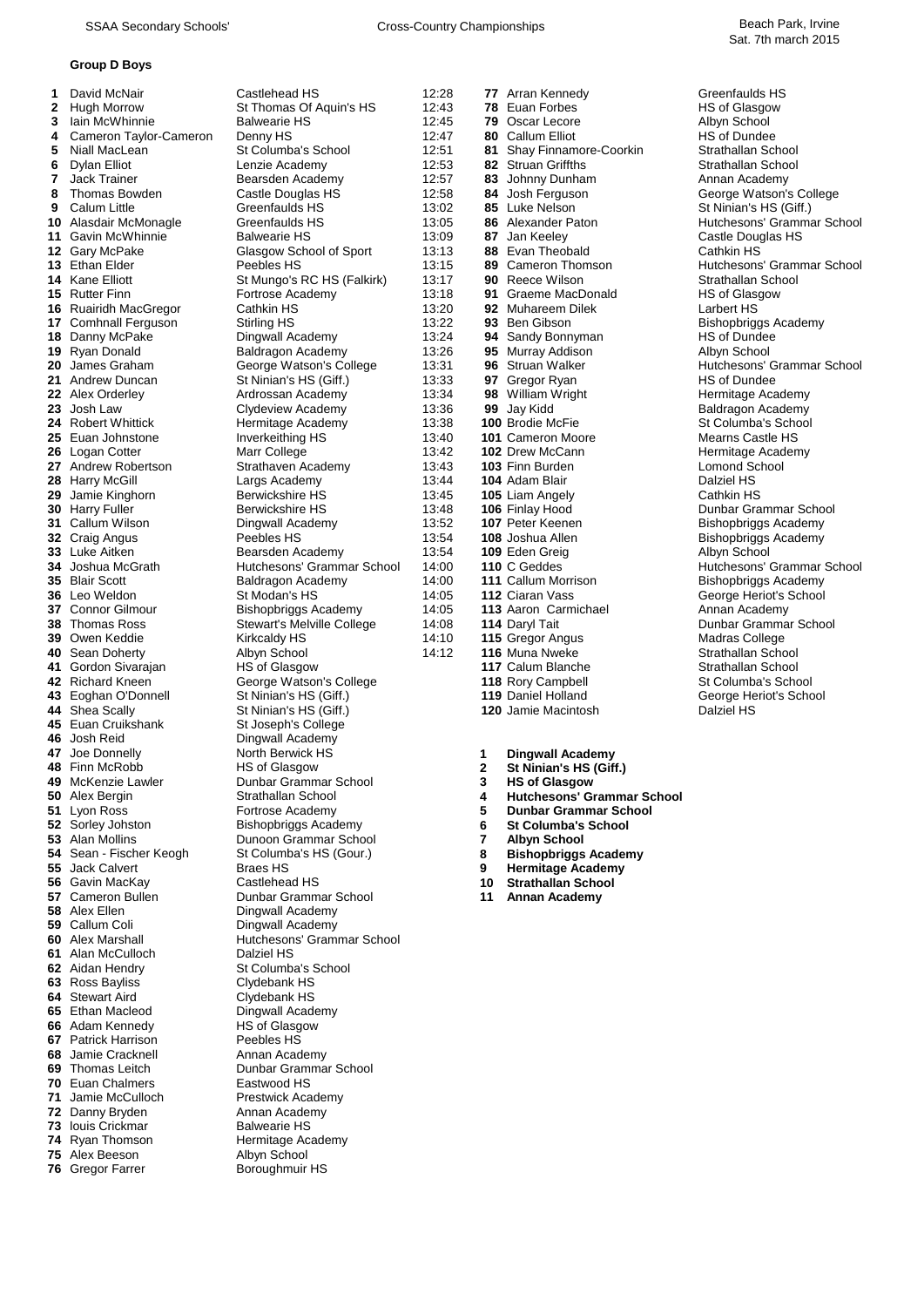## **Group D Boys**

| 1  | David McNair           | Castlehead HS                                    |
|----|------------------------|--------------------------------------------------|
| 2  | Hugh Morrow            | St Thomas Of Aquin's HS                          |
| 3  | lain McWhinnie         | <b>Balwearie HS</b>                              |
| 4  | Cameron Taylor-Cameron | Denny HS                                         |
| 5  | Niall MacLean          | St Columba's School                              |
| 6  | Dylan Elliot           | Lenzie Academy                                   |
| 7  | <b>Jack Trainer</b>    | Bearsden Academy                                 |
| 8  | <b>Thomas Bowden</b>   | Castle Douglas HS                                |
| 9  | Calum Little           | Greenfaulds HS                                   |
| 10 |                        | Greenfaulds HS                                   |
| 11 | Alasdair McMonagle     | <b>Balwearie HS</b>                              |
|    | Gavin McWhinnie        |                                                  |
| 12 | Gary McPake            | Glasgow School of Sport                          |
| 13 | <b>Ethan Elder</b>     | Peebles HS                                       |
| 14 | Kane Elliott           | St Mungo's RC HS (Falkirk)                       |
| 15 | <b>Rutter Finn</b>     | Fortrose Academy                                 |
| 16 | Ruairidh MacGregor     | Cathkin HS                                       |
| 17 | Comhnall Ferguson      | Stirling HS                                      |
| 18 | Danny McPake           | Dingwall Academy                                 |
| 19 | Ryan Donald            | <b>Baldragon Academy</b>                         |
| 20 | James Graham           | George Watson's College                          |
| 21 | Andrew Duncan          | St Ninian's HS (Giff.)                           |
|    | 22 Alex Orderley       | Ardrossan Academy                                |
| 23 | Josh Law               | <b>Clydeview Academy</b>                         |
| 24 | <b>Robert Whittick</b> | Hermitage Academy                                |
| 25 | Euan Johnstone         | Inverkeithing HS                                 |
| 26 | Logan Cotter           | Marr College                                     |
| 27 | Andrew Robertson       | Strathaven Academy                               |
| 28 | <b>Harry McGill</b>    | Largs Academy                                    |
| 29 | Jamie Kinghorn         | <b>Berwickshire HS</b>                           |
| 30 | <b>Harry Fuller</b>    | <b>Berwickshire HS</b>                           |
| 31 | Callum Wilson          | Dingwall Academy                                 |
| 32 | Craig Angus            | Peebles HS                                       |
| 33 | Luke Aitken            | Bearsden Academy                                 |
| 34 | Joshua McGrath         | Hutchesons' Grammar School                       |
| 35 | <b>Blair Scott</b>     | <b>Baldragon Academy</b>                         |
| 36 | Leo Weldon             | St Modan's HS                                    |
| 37 | <b>Connor Gilmour</b>  | Bishopbriggs Academy                             |
| 38 | Thomas Ross            | Stewart's Melville College                       |
| 39 | Owen Keddie            | Kirkcaldy HS                                     |
| 40 | Sean Doherty           | Albyn School                                     |
| 41 | Gordon Sivarajan       | <b>HS of Glasgow</b>                             |
| 42 | <b>Richard Kneen</b>   | George Watson's College                          |
|    | 43 Eoghan O'Donnell    | St Ninian's HS (Giff.)                           |
|    | 44 Shea Scally         | St Ninian's HS (Giff.)                           |
|    | 45 Euan Cruikshank     | St Joseph's College                              |
|    | 46 Josh Reid           | Dingwall Academy                                 |
| 47 | Joe Donnelly           | North Berwick HS                                 |
| 48 | Finn McRobb            | HS of Glasgow                                    |
| 49 | McKenzie Lawler        | Dunbar Grammar School                            |
| 50 | Alex Bergin            | Strathallan School                               |
| 51 | Lyon Ross              | Fortrose Academy                                 |
| 52 | Sorley Johston         | <b>Bishopbriggs Academy</b>                      |
| 53 | <b>Alan Mollins</b>    |                                                  |
| 54 | Sean - Fischer Keogh   | Dunoon Grammar School<br>St Columba's HS (Gour.) |
| 55 | Jack Calvert           | Braes HS                                         |
| 56 | Gavin MacKay           | Castlehead HS                                    |
| 57 | Cameron Bullen         | Dunbar Grammar School                            |
| 58 | Alex Ellen             |                                                  |
|    |                        | Dingwall Academy                                 |
| 59 | Callum Coli            | Dingwall Academy                                 |
| 60 | Alex Marshall          | Hutchesons' Grammar School                       |
| 61 | Alan McCulloch         | Dalziel HS                                       |
| 62 | Aidan Hendry           | St Columba's School                              |
| 63 | Ross Bayliss           | Clydebank HS                                     |
| 64 | <b>Stewart Aird</b>    | Clydebank HS                                     |
| 65 | Ethan Macleod          | Dingwall Academy                                 |
| 66 | Adam Kennedy           | HS of Glasgow                                    |
| 67 | Patrick Harrison       | Peebles HS                                       |
| 68 | Jamie Cracknell        | Annan Academy                                    |
| 69 | <b>Thomas Leitch</b>   | Dunbar Grammar School                            |
| 70 | <b>Euan Chalmers</b>   | Eastwood HS                                      |
| 71 | Jamie McCulloch        | Prestwick Academy                                |
| 72 | Danny Bryden           | Annan Academy                                    |
| 73 | louis Crickmar         | <b>Balwearie HS</b>                              |
| 74 | Ryan Thomson           | Hermitage Academy                                |
| 75 | Alex Beeson            | Albyn School                                     |
| 76 | <b>Gregor Farrer</b>   | Boroughmuir HS                                   |

| 2  | Daviu IVIUNAII<br><b>Hugh Morrow</b>       | Udslitiitau I IJ<br>St Thomas Of Aquin's HS   | 14.40<br>12:43 |        | <i>II</i> Allall Nellileuy<br>78 Euan Forbes              | OI CUINQUIUS I IO<br>HS of Glasgow       |
|----|--------------------------------------------|-----------------------------------------------|----------------|--------|-----------------------------------------------------------|------------------------------------------|
| 3  | lain McWhinnie                             | <b>Balwearie HS</b>                           | 12:45          |        | 79 Oscar Lecore                                           | Albyn School                             |
| 4  | Cameron Taylor-Cameron                     | Denny HS                                      | 12:47          |        | 80 Callum Elliot                                          | HS of Dundee                             |
| 5  | Niall MacLean                              | St Columba's School                           | 12:51          |        | 81 Shay Finnamore-Coorkin                                 | Strathallan School                       |
| 6  | Dylan Elliot                               | Lenzie Academy                                | 12:53          |        | 82 Struan Griffths                                        | Strathallan School                       |
| 7  | Jack Trainer                               | Bearsden Academy                              | 12:57          |        | 83 Johnny Dunham                                          | Annan Academy                            |
| 8  | Thomas Bowden                              | Castle Douglas HS                             | 12:58          |        | 84 Josh Ferguson                                          | George Watson's College                  |
| 9  | Calum Little                               | Greenfaulds HS                                | 13:02          |        | 85 Luke Nelson                                            | St Ninian's HS (Giff.)                   |
|    | <b>10</b> Alasdair McMonagle               | Greenfaulds HS                                | 13:05          |        | 86 Alexander Paton                                        | Hutchesons' Grammar School               |
|    | 11 Gavin McWhinnie                         | <b>Balwearie HS</b>                           | 13:09          |        | 87 Jan Keeley                                             | Castle Douglas HS                        |
|    | 12 Gary McPake                             | Glasgow School of Sport                       | 13:13          |        | 88 Evan Theobald                                          | Cathkin HS                               |
|    | 13 Ethan Elder                             | Peebles HS                                    | 13:15          |        | 89 Cameron Thomson                                        | Hutchesons' Grammar School               |
|    | 14 Kane Elliott                            | St Mungo's RC HS (Falkirk)                    | 13:17          |        | 90 Reece Wilson                                           | Strathallan School                       |
|    | 15 Rutter Finn                             | Fortrose Academy                              | 13:18          |        | 91 Graeme MacDonald                                       | <b>HS of Glasgow</b>                     |
|    | <b>16</b> Ruairidh MacGregor               | Cathkin HS                                    | 13:20          |        | 92 Muhareem Dilek                                         | Larbert HS                               |
|    | 17 Comhnall Ferguson                       | Stirling HS                                   | 13:22          |        | 93 Ben Gibson                                             | <b>Bishopbriggs Academy</b>              |
|    | 18 Danny McPake                            | Dingwall Academy                              | 13:24          |        | 94 Sandy Bonnyman                                         | HS of Dundee                             |
|    | 19 Ryan Donald                             | Baldragon Academy                             | 13:26          |        | 95 Murray Addison                                         | Albyn School                             |
|    | 20 James Graham                            | George Watson's College                       | 13:31          |        | 96 Struan Walker                                          | Hutchesons' Grammar School               |
|    | 21 Andrew Duncan                           | St Ninian's HS (Giff.)                        | 13:33          |        | 97 Gregor Ryan                                            | HS of Dundee                             |
|    | 22 Alex Orderley<br>23 Josh Law            | Ardrossan Academy<br>Clydeview Academy        | 13:34<br>13:36 |        | 98 William Wright<br>99 Jay Kidd                          | Hermitage Academy                        |
|    | <b>24</b> Robert Whittick                  | Hermitage Academy                             | 13:38          |        | <b>100 Brodie McFie</b>                                   | Baldragon Academy<br>St Columba's School |
|    | 25 Euan Johnstone                          | Inverkeithing HS                              | 13:40          |        | 101 Cameron Moore                                         | Mearns Castle HS                         |
|    | 26 Logan Cotter                            | Marr College                                  | 13:42          |        | 102 Drew McCann                                           | Hermitage Academy                        |
|    | 27 Andrew Robertson                        | Strathaven Academy                            | 13:43          |        | 103 Finn Burden                                           | Lomond School                            |
|    | 28 Harry McGill                            | Largs Academy                                 | 13:44          |        | 104 Adam Blair                                            | Dalziel HS                               |
|    | 29 Jamie Kinghorn                          | <b>Berwickshire HS</b>                        | 13:45          |        | 105 Liam Angely                                           | Cathkin HS                               |
|    | 30 Harry Fuller                            | <b>Berwickshire HS</b>                        | 13:48          |        | 106 Finlay Hood                                           | Dunbar Grammar School                    |
|    | <b>31 Callum Wilson</b>                    | Dingwall Academy                              | 13:52          |        | 107 Peter Keenen                                          | <b>Bishopbriggs Academy</b>              |
|    | 32 Craig Angus                             | Peebles HS                                    | 13:54          |        | <b>108 Joshua Allen</b>                                   | Bishopbriggs Academy                     |
|    | 33 Luke Aitken                             | Bearsden Academy                              | 13:54          |        | 109 Eden Greig                                            | Albyn School                             |
|    | <b>34</b> Joshua McGrath                   | Hutchesons' Grammar School                    | 14:00          |        | 110 C Geddes                                              | Hutchesons' Grammar School               |
|    | 35 Blair Scott                             | Baldragon Academy                             | 14:00          |        | 111 Callum Morrison                                       | <b>Bishopbriggs Academy</b>              |
|    | 36 Leo Weldon                              | St Modan's HS                                 | 14:05          |        | 112 Ciaran Vass                                           | George Heriot's School                   |
|    | 37 Connor Gilmour                          | Bishopbriggs Academy                          | 14:05          |        | 113 Aaron Carmichael                                      | Annan Academy                            |
|    | 38 Thomas Ross                             | Stewart's Melville College                    | 14:08          |        | 114 Daryl Tait                                            | Dunbar Grammar School                    |
|    | 39 Owen Keddie                             | Kirkcaldy HS                                  | 14:10          |        | 115 Gregor Angus                                          | Madras College                           |
|    | 40 Sean Doherty                            | Albyn School                                  | 14:12          |        | 116 Muna Nweke                                            | Strathallan School                       |
|    | 41 Gordon Sivarajan<br>42 Richard Kneen    | HS of Glasgow<br>George Watson's College      |                |        | 117 Calum Blanche                                         | Strathallan School                       |
|    |                                            |                                               |                |        | 118 Rory Campbell                                         | St Columba's School                      |
|    |                                            |                                               |                |        |                                                           |                                          |
|    | 43 Eoghan O'Donnell                        | St Ninian's HS (Giff.)                        |                |        | 119 Daniel Holland                                        | George Heriot's School                   |
|    | 44 Shea Scally                             | St Ninian's HS (Giff.)                        |                |        | 120 Jamie Macintosh                                       | Dalziel HS                               |
|    | 45 Euan Cruikshank                         | St Joseph's College                           |                |        |                                                           |                                          |
|    | 46 Josh Reid                               | Dingwall Academy                              |                |        |                                                           |                                          |
|    | 47 Joe Donnelly                            | North Berwick HS                              |                | 1      | <b>Dingwall Academy</b>                                   |                                          |
|    | 48 Finn McRobb<br>49 McKenzie Lawler       | <b>HS of Glasgow</b><br>Dunbar Grammar School |                | 2<br>3 | St Ninian's HS (Giff.)                                    |                                          |
|    |                                            | Strathallan School                            |                | 4      | <b>HS of Glasgow</b><br><b>Hutchesons' Grammar School</b> |                                          |
|    | 50 Alex Bergin<br>51 Lyon Ross             | Fortrose Academy                              |                | 5      | <b>Dunbar Grammar School</b>                              |                                          |
|    | 52 Sorley Johston                          | <b>Bishopbriggs Academy</b>                   |                | 6      | <b>St Columba's School</b>                                |                                          |
|    | 53 Alan Mollins                            | Dunoon Grammar School                         |                | 7      | <b>Albyn School</b>                                       |                                          |
|    | 54 Sean - Fischer Keogh                    | St Columba's HS (Gour.)                       |                | 8      | <b>Bishopbriggs Academy</b>                               |                                          |
|    | 55 Jack Calvert                            | <b>Braes HS</b>                               |                | 9      | <b>Hermitage Academy</b>                                  |                                          |
|    | 56 Gavin MacKay                            | Castlehead HS                                 |                | 10     | <b>Strathallan School</b>                                 |                                          |
|    | 57 Cameron Bullen                          | Dunbar Grammar School                         |                | 11     | <b>Annan Academy</b>                                      |                                          |
|    | 58 Alex Ellen                              | Dingwall Academy                              |                |        |                                                           |                                          |
|    | 59 Callum Coli                             | Dingwall Academy                              |                |        |                                                           |                                          |
|    | <b>60</b> Alex Marshall                    | Hutchesons' Grammar School                    |                |        |                                                           |                                          |
|    | 61 Alan McCulloch                          | <b>Dalziel HS</b>                             |                |        |                                                           |                                          |
|    | 62 Aidan Hendry                            | St Columba's School                           |                |        |                                                           |                                          |
|    | 63 Ross Bayliss                            | Clydebank HS                                  |                |        |                                                           |                                          |
|    | <b>64</b> Stewart Aird<br>65 Ethan Macleod | Clydebank HS                                  |                |        |                                                           |                                          |
|    | 66 Adam Kennedy                            | Dingwall Academy<br>HS of Glasgow             |                |        |                                                           |                                          |
|    | <b>67</b> Patrick Harrison                 | Peebles HS                                    |                |        |                                                           |                                          |
| 68 | Jamie Cracknell                            | Annan Academy                                 |                |        |                                                           |                                          |
|    | <b>69</b> Thomas Leitch                    | Dunbar Grammar School                         |                |        |                                                           |                                          |
|    | <b>70</b> Euan Chalmers                    | Eastwood HS                                   |                |        |                                                           |                                          |
| 71 | Jamie McCulloch                            | Prestwick Academy                             |                |        |                                                           |                                          |
|    | 72 Danny Bryden                            | Annan Academy                                 |                |        |                                                           |                                          |
|    | <b>73</b> Iouis Crickmar                   | <b>Balwearie HS</b>                           |                |        |                                                           |                                          |
|    | 74 Ryan Thomson<br>75 Alex Beeson          | Hermitage Academy<br>Albyn School             |                |        |                                                           |                                          |

| Castlehead HS                               | 12:28          |                | 77 Arran Kennedy                      | Greenfaulds HS                               |
|---------------------------------------------|----------------|----------------|---------------------------------------|----------------------------------------------|
| St Thomas Of Aquin's HS                     | 12:43          |                | 78 Euan Forbes                        | <b>HS of Glasgow</b>                         |
| Balwearie HS                                | 12:45          |                | 79 Oscar Lecore                       | Albyn School                                 |
| Denny HS                                    | 12:47          |                | 80 Callum Elliot                      | <b>HS of Dundee</b>                          |
| St Columba's School                         | 12:51          |                | 81 Shay Finnamore-Coorkin             | Strathallan School                           |
| Lenzie Academy                              | 12:53          |                | 82 Struan Griffths                    | Strathallan School                           |
| Bearsden Academy                            | 12:57          |                | 83 Johnny Dunham                      | Annan Academy                                |
| Castle Douglas HS                           | 12:58          |                | 84 Josh Ferguson                      | George Watson's Colle                        |
| Greenfaulds HS                              | 13:02          |                | 85 Luke Nelson                        | St Ninian's HS (Giff.)                       |
| Greenfaulds HS                              | 13:05          |                | 86 Alexander Paton                    | Hutchesons' Grammar \                        |
| Balwearie HS                                | 13:09          |                | 87 Jan Keeley                         | Castle Douglas HS                            |
| Glasgow School of Sport                     | 13:13          |                | 88 Evan Theobald                      | Cathkin HS                                   |
| Peebles HS                                  | 13:15          |                | 89 Cameron Thomson                    | Hutchesons' Grammar \                        |
| St Mungo's RC HS (Falkirk)                  | 13:17          |                | <b>90</b> Reece Wilson                | Strathallan School                           |
| Fortrose Academy                            | 13:18          |                | 91 Graeme MacDonald                   | HS of Glasgow                                |
| Cathkin HS                                  | 13:20          |                | 92 Muhareem Dilek                     | <b>Larbert HS</b>                            |
| Stirling HS                                 | 13:22          |                | 93 Ben Gibson                         | Bishopbriggs Academy                         |
| Dingwall Academy                            | 13:24          |                | 94 Sandy Bonnyman                     | HS of Dundee                                 |
| Baldragon Academy                           | 13:26          |                | 95 Murray Addison<br>96 Struan Walker | Albyn School                                 |
| George Watson's College                     | 13:31<br>13:33 |                |                                       | Hutchesons' Grammar \<br><b>HS of Dundee</b> |
| St Ninian's HS (Giff.)<br>Ardrossan Academy | 13:34          |                | 97 Gregor Ryan<br>98 William Wright   |                                              |
| Clydeview Academy                           | 13:36          |                | 99 Jay Kidd                           | Hermitage Academy<br>Baldragon Academy       |
| Hermitage Academy                           | 13:38          |                | 100 Brodie McFie                      | St Columba's School                          |
| Inverkeithing HS                            | 13:40          |                | 101 Cameron Moore                     | <b>Mearns Castle HS</b>                      |
| Marr College                                | 13:42          |                | 102 Drew McCann                       | Hermitage Academy                            |
| Strathaven Academy                          | 13:43          |                | 103 Finn Burden                       | Lomond School                                |
| Largs Academy                               | 13:44          |                | 104 Adam Blair                        | Dalziel HS                                   |
| Berwickshire HS                             | 13:45          |                | 105 Liam Angely                       | <b>Cathkin HS</b>                            |
| Berwickshire HS                             | 13:48          |                | 106 Finlay Hood                       | Dunbar Grammar Scho                          |
| Dingwall Academy                            | 13:52          |                | 107 Peter Keenen                      | Bishopbriggs Academy                         |
| Peebles HS                                  | 13:54          |                | 108 Joshua Allen                      | <b>Bishopbriggs Academy</b>                  |
| Bearsden Academy                            | 13:54          |                | 109 Eden Greig                        | Albyn School                                 |
| Hutchesons' Grammar School                  | 14:00          |                | 110 C Geddes                          | Hutchesons' Grammar \                        |
| Baldragon Academy                           | 14:00          |                | 111 Callum Morrison                   | Bishopbriggs Academy                         |
| St Modan's HS                               | 14:05          |                | 112 Ciaran Vass                       | George Heriot's School                       |
| Bishopbriggs Academy                        | 14:05          |                | 113 Aaron Carmichael                  | Annan Academy                                |
| Stewart's Melville College                  | 14:08          |                | 114 Daryl Tait                        | Dunbar Grammar Scho                          |
| Kirkcaldy HS                                | 14:10          |                | 115 Gregor Angus                      | Madras College                               |
| Albyn School                                | 14:12          |                | 116 Muna Nweke                        | Strathallan School                           |
| HS of Glasgow                               |                |                | 117 Calum Blanche                     | Strathallan School                           |
| George Watson's College                     |                |                | 118 Rory Campbell                     | St Columba's School                          |
| St Ninian's HS (Giff.)                      |                |                | 119 Daniel Holland                    | George Heriot's School                       |
| St Ninian's HS (Giff.)                      |                |                | 120 Jamie Macintosh                   | Dalziel HS                                   |
| St Joseph's College                         |                |                |                                       |                                              |
| Dingwall Academy                            |                |                |                                       |                                              |
| North Berwick HS                            |                | 1              | <b>Dingwall Academy</b>               |                                              |
| <b>HS of Glasgow</b>                        |                | 2              | St Ninian's HS (Giff.)                |                                              |
| Dunbar Grammar School                       |                | 3              | <b>HS of Glasgow</b>                  |                                              |
| Strathallan School                          |                | 4              | <b>Hutchesons' Grammar School</b>     |                                              |
| Fortrose Academy                            |                | 5              | <b>Dunbar Grammar School</b>          |                                              |
| Bishopbriggs Academy                        |                | 6              | <b>St Columba's School</b>            |                                              |
| Dunoon Grammar School                       |                | $\overline{7}$ | <b>Albyn School</b>                   |                                              |
| St Columba's HS (Gour.)                     |                | 8              | <b>Bishopbriggs Academy</b>           |                                              |
| Braes HS                                    |                | 9              | <b>Hermitage Academy</b>              |                                              |

- 
- **Annan Academy**

 $\text{George Watson's College}$  Andrew Dundee St Columba's School Lomond School<br>Dalziel HS **Strathallan School**  $St$  Columba's School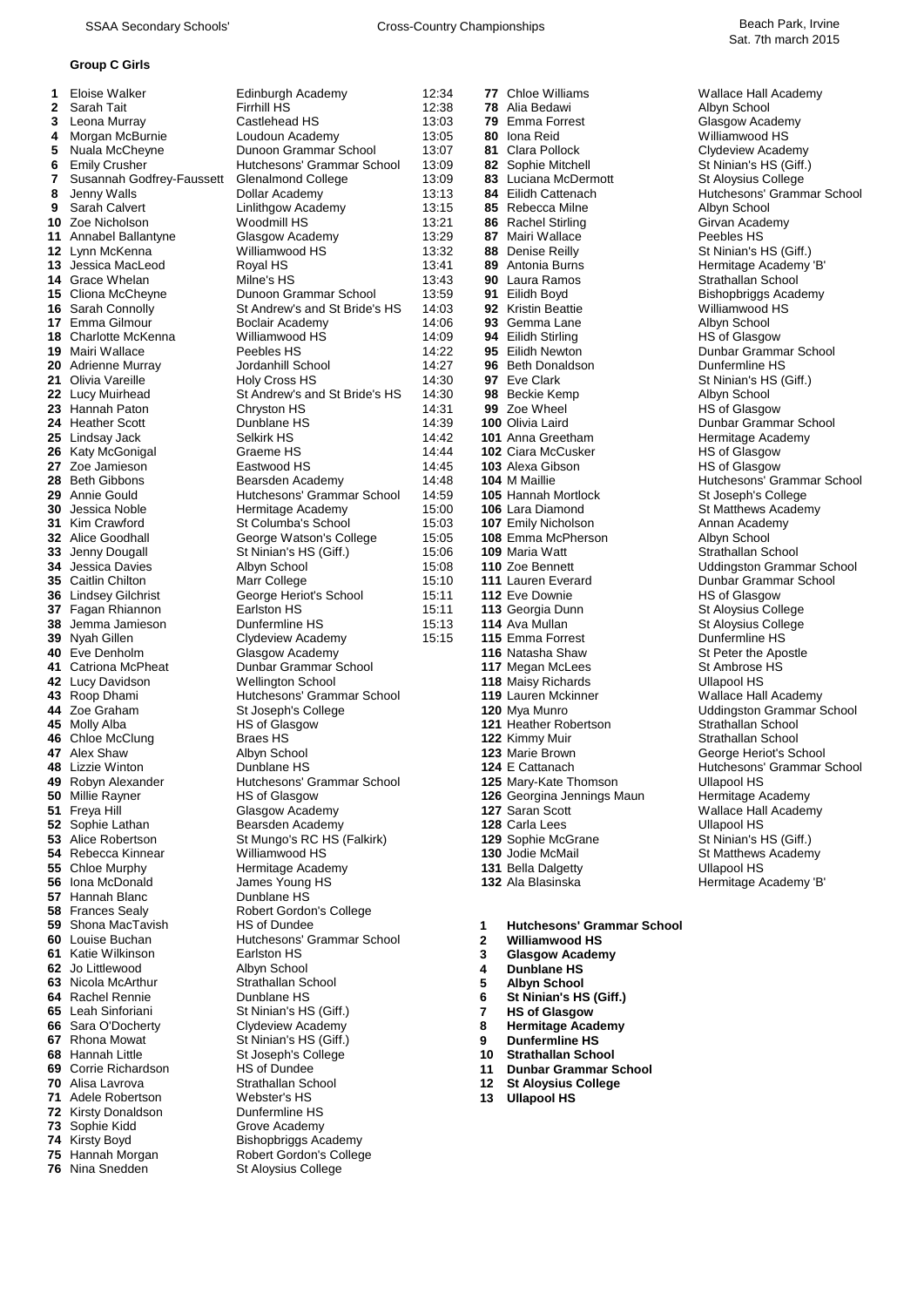#### **Group C Girls**

| 1        | Eloise Walker                      | Edinburgh Academy                                 |
|----------|------------------------------------|---------------------------------------------------|
| 2        | Sarah Tait                         | <b>Firrhill HS</b>                                |
| 3        | Leona Murray                       | Castlehead HS                                     |
| 4        | Morgan McBurnie                    | Loudoun Academy                                   |
| 5        | Nuala McCheyne                     | Dunoon Grammar Schoo                              |
| 6        | <b>Emily Crusher</b>               | Hutchesons' Grammar S                             |
| 7        | Susannah Godfrey-Faussett          | <b>Glenalmond College</b>                         |
| 8        | Jenny Walls                        | Dollar Academy                                    |
| 9        | Sarah Calvert                      | Linlithgow Academy                                |
| 10       | Zoe Nicholson                      | Woodmill HS                                       |
| 11       | Annabel Ballantyne                 | Glasgow Academy                                   |
| 12       | Lynn McKenna                       | Williamwood HS                                    |
| 13       | Jessica MacLeod                    | Royal HS                                          |
| 14       | Grace Whelan                       | Milne's HS                                        |
| 15       | Cliona McCheyne                    | Dunoon Grammar Schoo                              |
| 16       | Sarah Connolly<br>17 Emma Gilmour  | St Andrew's and St Bride<br>Boclair Academy       |
|          | 18 Charlotte McKenna               | Williamwood HS                                    |
|          | 19 Mairi Wallace                   | Peebles HS                                        |
|          | 20 Adrienne Murray                 | Jordanhill School                                 |
|          | 21 Olivia Vareille                 | Holy Cross HS                                     |
|          | 22 Lucy Muirhead                   | St Andrew's and St Bride                          |
|          | 23 Hannah Paton                    | Chryston HS                                       |
|          | 24 Heather Scott                   | Dunblane HS                                       |
| 25       | Lindsay Jack                       | Selkirk HS                                        |
| 26       | Katy McGonigal                     | Graeme HS                                         |
| 27       | Zoe Jamieson                       | Eastwood HS                                       |
|          | 28 Beth Gibbons                    | Bearsden Academy                                  |
| 29       | Annie Gould                        | Hutchesons' Grammar S                             |
| 31       | 30 Jessica Noble<br>Kim Crawford   | Hermitage Academy<br>St Columba's School          |
| 32       | Alice Goodhall                     | George Watson's Colleg                            |
| 33       | Jenny Dougall                      | St Ninian's HS (Giff.)                            |
| 34       | Jessica Davies                     | Albyn School                                      |
| 35       | Caitlin Chilton                    | Marr College                                      |
| 36       | <b>Lindsey Gilchrist</b>           | George Heriot's School                            |
| 37       | Fagan Rhiannon                     | Earlston HS                                       |
| 38       | Jemma Jamieson                     | Dunfermline HS                                    |
|          | 39 Nyah Gillen                     | Clydeview Academy                                 |
|          | 40 Eve Denholm                     | Glasgow Academy                                   |
| 41       | Catriona McPheat                   | Dunbar Grammar Schoo                              |
| 42       | Lucy Davidson<br>43 Roop Dhami     | <b>Wellington School</b><br>Hutchesons' Grammar S |
|          | 44 Zoe Graham                      | St Joseph's College                               |
|          | 45 Molly Alba                      | <b>HS of Glasgow</b>                              |
|          | 46 Chloe McClung                   | Braes HS                                          |
| 47       | Alex Shaw                          | Albyn School                                      |
|          | 48 Lizzie Winton                   | Dunblane HS                                       |
| 49       | Robyn Alexander                    | Hutchesons' Grammar S                             |
| 50       | Millie Rayner                      | <b>HS of Glasgow</b>                              |
| 51       | Freya Hill                         | Glasgow Academy                                   |
| 52       | Sophie Lathan                      | Bearsden Academy                                  |
| 53<br>54 | Alice Robertson<br>Rebecca Kinnear | St Mungo's RC HS (Falk<br>Williamwood HS          |
| 55       | Chloe Murphy                       | Hermitage Academy                                 |
| 56       | Iona McDonald                      | James Young HS                                    |
| 57       | Hannah Blanc                       | Dunblane HS                                       |
| 58       | <b>Frances Sealy</b>               | Robert Gordon's College                           |
| 59       | Shona MacTavish                    | <b>HS of Dundee</b>                               |
| 60       | Louise Buchan                      | Hutchesons' Grammar S                             |
| 61       | Katie Wilkinson                    | Earlston HS                                       |
| 62       | Jo Littlewood                      | Albyn School                                      |
| 63       | Nicola McArthur                    | Strathallan School                                |
| 64       | Rachel Rennie                      | Dunblane HS                                       |
| 65       | Leah Sinforiani                    | St Ninian's HS (Giff.)                            |
| 66<br>67 | Sara O'Docherty<br>Rhona Mowat     | Clydeview Academy<br>St Ninian's HS (Giff.)       |
| 68       | Hannah Little                      | St Joseph's College                               |
|          | 69 Corrie Richardson               | <b>HS of Dundee</b>                               |
| 70       | Alisa Lavrova                      | <b>Strathallan School</b>                         |
| 71       | Adele Robertson                    | Webster's HS                                      |
|          | 72 Kirsty Donaldson                | Dunfermline HS                                    |
| 73       | Sophie Kidd                        | Grove Academy                                     |
| 74       | Kirsty Boyd                        | <b>Bishopbriggs Academy</b>                       |
| 75       | Hannah Morgan                      | Robert Gordon's College                           |
|          | 76 Nina Snedden                    | St Alovsius College                               |

| 1 | Eloise Walker                                | Edinburgh Academy                                      | 12:34          |                  | <b>77</b> Chloe Williams                                | <b>Wallace Hall</b>         |
|---|----------------------------------------------|--------------------------------------------------------|----------------|------------------|---------------------------------------------------------|-----------------------------|
|   | 2 Sarah Tait                                 | <b>Firrhill HS</b>                                     | 12:38          |                  | <b>78</b> Alia Bedawi                                   | Albyn Schoo                 |
| 3 | Leona Murray                                 | Castlehead HS                                          | 13:03          |                  | 79 Emma Forrest                                         | Glasgow Aca                 |
| 4 | Morgan McBurnie                              | Loudoun Academy                                        | 13:05          |                  | 80 Iona Reid                                            | Williamwood                 |
| 5 | Nuala McCheyne                               | Dunoon Grammar School                                  | 13:07          |                  | 81 Clara Pollock                                        | Clydeview Ar                |
| 6 | <b>Emily Crusher</b>                         | Hutchesons' Grammar School                             | 13:09          |                  | 82 Sophie Mitchell                                      | St Ninian's H               |
| 7 | Susannah Godfrey-Faussett                    | <b>Glenalmond College</b>                              | 13:09          |                  | 83 Luciana McDermott                                    | St Aloysius C               |
| 8 | Jenny Walls                                  | Dollar Academy                                         | 13:13          |                  | 84 Eilidh Cattenach                                     | Hutchesons'                 |
| 9 | Sarah Calvert                                | Linlithgow Academy                                     | 13:15          |                  | 85 Rebecca Milne                                        | Albyn Schoo                 |
|   | 10 Zoe Nicholson                             | Woodmill HS                                            | 13:21          |                  |                                                         |                             |
|   |                                              |                                                        |                |                  | 86 Rachel Stirling                                      | Girvan Acade                |
|   | 11 Annabel Ballantyne                        | Glasgow Academy                                        | 13:29          |                  | 87 Mairi Wallace                                        | Peebles HS                  |
|   | 12 Lynn McKenna                              | Williamwood HS                                         | 13:32          |                  | 88 Denise Reilly                                        | St Ninian's H               |
|   | 13 Jessica MacLeod                           | Royal HS                                               | 13:41          |                  | 89 Antonia Burns                                        | Hermitage A                 |
|   | 14 Grace Whelan                              | Milne's HS                                             | 13:43          |                  | 90 Laura Ramos                                          | Strathallan S               |
|   | <b>15 Cliona McCheyne</b>                    | Dunoon Grammar School                                  | 13:59          |                  | 91 Eilidh Boyd                                          | Bishopbriggs                |
|   | 16 Sarah Connolly                            | St Andrew's and St Bride's HS                          | 14:03          |                  | 92 Kristin Beattie                                      | Williamwood                 |
|   | 17 Emma Gilmour                              | Boclair Academy                                        | 14:06          |                  | 93 Gemma Lane                                           | Albyn Schoo                 |
|   | <b>18 Charlotte McKenna</b>                  | Williamwood HS                                         | 14:09          |                  | 94 Eilidh Stirling                                      | HS of Glasgo                |
|   | 19 Mairi Wallace                             | Peebles HS                                             | 14:22          |                  | 95 Eilidh Newton                                        | Dunbar Gran                 |
|   | 20 Adrienne Murray                           | Jordanhill School                                      | 14:27          |                  | 96 Beth Donaldson                                       | Dunfermline                 |
|   | 21 Olivia Vareille                           | <b>Holy Cross HS</b>                                   | 14:30          |                  | 97 Eve Clark                                            | St Ninian's H               |
|   | 22 Lucy Muirhead                             | St Andrew's and St Bride's HS                          | 14:30          |                  | 98 Beckie Kemp                                          | Albyn Schoo                 |
|   | 23 Hannah Paton                              | Chryston HS                                            | 14:31          |                  | 99 Zoe Wheel                                            | HS of Glasgo                |
|   | 24 Heather Scott                             | Dunblane HS                                            | 14:39          |                  | 100 Olivia Laird                                        | Dunbar Gran                 |
|   | 25 Lindsay Jack                              | Selkirk HS                                             | 14:42          |                  | 101 Anna Greetham                                       | Hermitage A                 |
|   | 26 Katy McGonigal                            | Graeme HS                                              | 14:44          |                  | <b>102 Ciara McCusker</b>                               | HS of Glasgo                |
|   | 27 Zoe Jamieson                              | Eastwood HS                                            | 14:45          |                  | 103 Alexa Gibson                                        | HS of Glasgo                |
|   | 28 Beth Gibbons                              | Bearsden Academy                                       | 14:48          |                  | 104 M Maillie                                           | Hutchesons'                 |
|   | 29 Annie Gould                               | Hutchesons' Grammar School                             | 14:59          |                  | <b>105 Hannah Mortlock</b>                              | St Joseph's (               |
|   | 30 Jessica Noble                             | Hermitage Academy                                      | 15:00          |                  | 106 Lara Diamond                                        | <b>St Matthews</b>          |
|   | 31 Kim Crawford                              |                                                        | 15:03          |                  |                                                         |                             |
|   |                                              | St Columba's School                                    |                |                  | 107 Emily Nicholson                                     | Annan Acade                 |
|   | 32 Alice Goodhall                            | George Watson's College                                | 15:05          |                  | 108 Emma McPherson                                      | Albyn Schoo                 |
|   | 33 Jenny Dougall<br><b>34</b> Jessica Davies | St Ninian's HS (Giff.)                                 | 15:06<br>15:08 |                  | 109 Maria Watt<br>110 Zoe Bennett                       | Strathallan S               |
|   | 35 Caitlin Chilton                           | Albyn School<br>Marr College                           | 15:10          |                  | 111 Lauren Everard                                      | Uddingston (<br>Dunbar Gran |
|   | 36 Lindsey Gilchrist                         | George Heriot's School                                 | 15:11          |                  | 112 Eve Downie                                          | HS of Glasgo                |
|   | 37 Fagan Rhiannon                            | Earlston HS                                            | 15:11          |                  | 113 Georgia Dunn                                        | St Aloysius C               |
|   | 38 Jemma Jamieson                            | Dunfermline HS                                         | 15:13          |                  | 114 Ava Mullan                                          | St Aloysius C               |
|   | 39 Nyah Gillen                               | Clydeview Academy                                      | 15:15          |                  | 115 Emma Forrest                                        | Dunfermline                 |
|   | 40 Eve Denholm                               |                                                        |                |                  | 116 Natasha Shaw                                        | St Peter the                |
|   | 41 Catriona McPheat                          | Glasgow Academy<br>Dunbar Grammar School               |                |                  | 117 Megan McLees                                        |                             |
|   |                                              |                                                        |                |                  |                                                         | St Ambrose I                |
|   | 42 Lucy Davidson<br>43 Roop Dhami            | <b>Wellington School</b><br>Hutchesons' Grammar School |                |                  | <b>118 Maisy Richards</b><br><b>119 Lauren Mckinner</b> | Ullapool HS<br>Wallace Hall |
|   | 44 Zoe Graham                                | St Joseph's College                                    |                |                  | 120 Mya Munro                                           | Uddingston 0                |
|   |                                              |                                                        |                |                  | 121 Heather Robertson                                   | Strathallan S               |
|   | 45 Molly Alba<br>46 Chloe McClung            | HS of Glasgow<br>Braes HS                              |                |                  | 122 Kimmy Muir                                          | Strathallan S               |
|   | 47 Alex Shaw                                 |                                                        |                |                  | 123 Marie Brown                                         |                             |
|   | 48 Lizzie Winton                             | Albyn School<br>Dunblane HS                            |                |                  | 124 E Cattanach                                         | George Herio<br>Hutchesons' |
|   | 49 Robyn Alexander                           | Hutchesons' Grammar School                             |                |                  |                                                         | Ullapool HS                 |
|   |                                              |                                                        |                |                  | 125 Mary-Kate Thomson                                   |                             |
|   | 50 Millie Rayner                             | HS of Glasgow<br>Glasgow Academy                       |                |                  | 126 Georgina Jennings Maun                              | Hermitage A                 |
|   | 51 Freya Hill<br>52 Sophie Lathan            | Bearsden Academy                                       |                |                  | 127 Saran Scott<br>128 Carla Lees                       | Wallace Hall                |
|   | 53 Alice Robertson                           | St Mungo's RC HS (Falkirk)                             |                |                  | 129 Sophie McGrane                                      | Ullapool HS                 |
|   | 54 Rebecca Kinnear                           | Williamwood HS                                         |                |                  |                                                         | St Ninian's H               |
|   |                                              |                                                        |                |                  | 130 Jodie McMail                                        | St Matthews                 |
|   | 55 Chloe Murphy<br>56 Iona McDonald          | Hermitage Academy                                      |                |                  | <b>131 Bella Dalgetty</b><br>132 Ala Blasinska          | Ullapool HS                 |
|   |                                              | James Young HS                                         |                |                  |                                                         | Hermitage A                 |
|   | 57 Hannah Blanc                              | Dunblane HS                                            |                |                  |                                                         |                             |
|   | 58 Frances Sealy                             | Robert Gordon's College                                |                |                  |                                                         |                             |
|   | 59 Shona MacTavish                           | HS of Dundee                                           |                | 1.               | <b>Hutchesons' Grammar School</b>                       |                             |
|   | 60 Louise Buchan                             | Hutchesons' Grammar School                             |                | 2                | <b>Williamwood HS</b>                                   |                             |
|   | 61 Katie Wilkinson                           | Earlston HS                                            |                | 3                | <b>Glasgow Academy</b>                                  |                             |
|   | 62 Jo Littlewood                             | Albyn School                                           |                | 4                | Dunblane HS                                             |                             |
|   | 63 Nicola McArthur                           | Strathallan School                                     |                | 5                | <b>Albyn School</b>                                     |                             |
|   | 64 Rachel Rennie                             | Dunblane HS                                            |                | 6                | St Ninian's HS (Giff.)                                  |                             |
|   | 65 Leah Sinforiani                           | St Ninian's HS (Giff.)                                 |                | $\overline{7}$   | <b>HS of Glasgow</b>                                    |                             |
|   | 66 Sara O'Docherty                           | Clydeview Academy                                      |                | 8                | <b>Hermitage Academy</b>                                |                             |
|   | 67 Rhona Mowat                               | St Ninian's HS (Giff.)                                 |                | 9                | <b>Dunfermline HS</b>                                   |                             |
|   | 68 Hannah Little                             | St Joseph's College                                    |                | 10               | <b>Strathallan School</b>                               |                             |
|   | 69 Corrie Richardson                         | HS of Dundee                                           |                | 11               | <b>Dunbar Grammar School</b>                            |                             |
|   | <b>70</b> Alisa Lavrova                      | Strathallan School                                     |                | 12 <sup>12</sup> | <b>St Aloysius College</b>                              |                             |
|   | 71 Adele Robertson                           | Webster's HS                                           |                | 13               | <b>Ullapool HS</b>                                      |                             |
|   | 72 Kirsty Donaldson                          | Dunfermline HS                                         |                |                  |                                                         |                             |
|   | 73 Sophie Kidd                               | Grove Academy                                          |                |                  |                                                         |                             |
|   | 74 Kirsty Boyd                               | <b>Bishopbriggs Academy</b>                            |                |                  |                                                         |                             |
|   | 75 Hannah Morgan                             | Robert Gordon's College                                |                |                  |                                                         |                             |

*St Aloysius College* 

12.14 **12.1** Chloe Williams **12:34** Wallace Hall Academy **29** Emma Forrest **Clasgow Academy**<br>13:03 **80** Iona Reid **Class Container Container Container** Guilliamwood HS Milliamwood HS<br>13:05 **81** Clara Pollock **13:05 Claramy 13:05 Pollock** Clydeview Acade **81** Clara Pollock **1988 Clydeview Academy**<br>13:07 **82** Sophie Mitchell Club 13:07 St Ninian's HS (Giff.) **62 Sophie Mitchell 6** St Ninian's HS (Giff.)<br>13:09 **83** Luciana McDermott St Aloysius College Luciana McDermott **84** Eilidh Cattenach **99 Sarah Calvert Lindite Albyn School**<br>13:15 **86** Rachel Stirling Academy Academy **86** Rachel Stirling The Girvan Academy Commission Commission Commission Broad<br>13:29 **87** Mairi Wallace Girls Broadway Peebles HS **12 12 88** Denise Reilly **12 12** St Ninian's HS (Giff.)<br> **12 89** Antonia Burns **12** Hermitage Academy **89** Antonia Burns **12:41 89 Antonia Burns Hermitage Academy 'B' 698**<br>13:41 **90** Laura Ramos **Hermitage Academy Strathallan School 90** Laura Ramos<br>59 **91** Eilidh Bovd **16** Sarah Connors Andrew St Andrew St Andrew St Bridge St Bridge St Bridge St Bridge St Bridge<br>16<br>
16 September 2022 14:03 14:04:05 Albyn School **17** Emma Lane **17** Emma Lane **Albyn School**<br>19 **17** Eilidh Stirling Albyn School HS of Glasgow **94 Eilidh Stirling<br><b>95 Eilidh Newton 96** Beth Donaldson<br>30 **97** Eve Clark **98** Beckie Kemp Hannah Paton Chryston HS 14:31 **99** Zoe Wheel HS of Glasgow **201** Anna Greetham **12:43:42 101** Anna Greetham Katy McGonigal Graeme HS 14:44 **102** Ciara McCusker HS of Glasgow Alexa Gibson<br>**104** M Maillie **29 Aunie Hutchesons** Grammar St Joseph's College<br>1912 **106** Lara Diamond **1988** 12:59 Matthews Academ **106** Lara Diamond **16:00 St Matthews Academy** 16:00 **106** Lara Diamond St Matthews Academy Emily Nicholson<br> **108** Emma McPherson Albyn School **108** Emma McPherson<br>06 **109** Maria Watt Jenny Dougall St Ninian's HS (Giff.) 15:06 **109** Maria Watt Strathallan School **112** Eve Downie **16 Lindse HS of Glasgow**<br>16:11 **113** Georgia Dunn **15:11 EVE St Aloysius College 17 Fagan Rhian Rhian Rhiannon Earls 113** Georgia Dunn<br>3 **114** Ava Mullan **3 114** Ava Mullan **1888** St Aloysius College **115**<br>115: **115** Emma Forrest **1888** Bunfermline HS **39 115 Emma Forrest Dunfermline HS<br>
<b>39 116** Natasha Shaw **16** St Peter the Apostle **400 116** Natasha Shaw **116** Natasha Shaw St Peter the Apostle 17 Negan McLees **417 Megan McLees 5t Ambrose St Ambrose**<br>**118** Maisy Richards **Company St Ambrose St Ambrose**  Maisy Richards **438 119 Lauren Mckinner Australian Chami Hutcheson Wallace Hall Academy<br>120 Mya Munro Mckinner Wallace Hall Academy Wallace Hall Academy 421 Heather Robertson<br><b>122** Kimmy Muir **46** Allemany Muir Strathallan School **123** Marie Brown **Alexander Hutcheson** School HS Georgina Jennings Maun **127** Hermitage Academy<br>**127** Saran Scott **128** Wallace Hall Academy Carla Lees **128** Carla Lees Ullapool HS<br> **129** Sophie McGrane St Ninian's HS (Giff.) Sophie McGrane Jodie McMail **130** St Matthews Academy<br>**131** Bella Dalgetty **130** Ullapool HS **131 Bella Dalgetty**  Ala Blasinska **132** Hermitage Academy 'B' Hutchesons' Grammar School<br>2 Williamwood HS Louise Buchan Hutchesons' Grammar School **2 Williamwood HS 61 Glasgow Academy**<br>**4 Dunblane HS**  Jo Littlewood Albyn School **4 Dunblane HS** Nicola McArthur Strathallan School **5 Albyn School**

 Eilidh Cattenach Hutchesons' Grammar School Bishopbriggs Academy 1995 Eilidh Newton **1986 Eilidh Newton Dunbar Grammar School**<br>14:22 **96** Beth Donaldson **Dunfermline HS 21 Ninian's HS (Giff.)**<br>Albyn School **24 24:39 IDUNDE DUNDANE Grammar School**<br>**24.39 IDUNDE HEATH DUNGE HEATH DUNGE ACADEMY 204** M Maillie **2020 104** M Maillie Hutchesons' Grammar School Zoe Bennett **110** Zoe Bennett **14** Jesus Luddingston Grammar School 111 Lauren Everard **50 Caitlin Chilton Marr College 15:10 111 Lauren Everard College 15:10 Dunbar Grammar School**<br>15:11**2** Live Downie Dunbar Book College HS of Glasgow Uddingston Grammar School<br>Strathallan School **George Heriot's School**  E Cattanach **124** E Cattanach **124** E Cattanach **Wallace Hall Academy Ullapool HS** 

- 
- 
- 
- 
- **6** St Ninian's HS (Giff.)<br>7 HS of Glasgow
- **65 BS** of Glasgow<br>8 **Hermitage Acad**
- **Hermitage Academy**
- **67** Rhona Mowat St Ninian's HS (Giff.) **9 Dunfermline HS**
- **Strathallan School**
- **11 Dunbar Grammar School**
- **72 St Aloysius College<br>13 Ullapool HS**
- **Ullapool HS**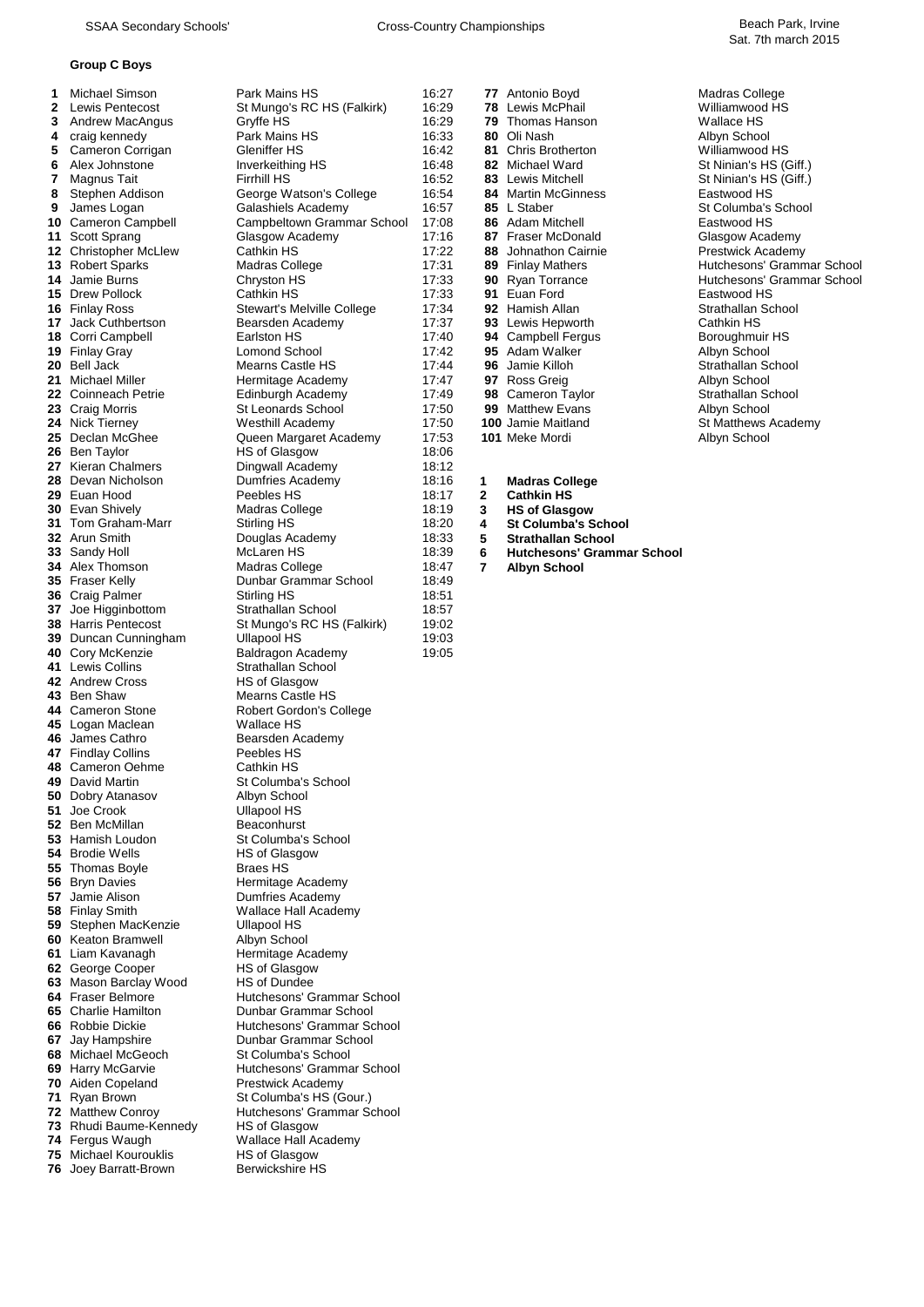SSAA Secondary Schools' Cross-Country Championships Beach Park, Irvine

## **Group C Boys**

Joey Barratt-Brown

|                                                 | <b>Group C Boys</b>                                                                                                                                                                                                                                                                                                                                                                                                                                                                                                                                                                                                                                                                                                                                                                                                                                                                                                                                                                                                                                                                                                                                                                                                                                                                                          |                                                                                                                                                                                                                                                                                                                                                                                                                                                                                                                                                                                                                                                                                                                                                                                                                                                                                                                                                                                                                                                                                                                                                                                                                                                                                |                                                                                                                                                                                                                                                                                                                                                                      |                                        |                                                                                                                                                                                                                                                                                                                                                                                                                                                                                                                                                                                                                                                                                                                                   |                                                                                                                                                                                                                                                                                                                                                                                                                                                                                                              |
|-------------------------------------------------|--------------------------------------------------------------------------------------------------------------------------------------------------------------------------------------------------------------------------------------------------------------------------------------------------------------------------------------------------------------------------------------------------------------------------------------------------------------------------------------------------------------------------------------------------------------------------------------------------------------------------------------------------------------------------------------------------------------------------------------------------------------------------------------------------------------------------------------------------------------------------------------------------------------------------------------------------------------------------------------------------------------------------------------------------------------------------------------------------------------------------------------------------------------------------------------------------------------------------------------------------------------------------------------------------------------|--------------------------------------------------------------------------------------------------------------------------------------------------------------------------------------------------------------------------------------------------------------------------------------------------------------------------------------------------------------------------------------------------------------------------------------------------------------------------------------------------------------------------------------------------------------------------------------------------------------------------------------------------------------------------------------------------------------------------------------------------------------------------------------------------------------------------------------------------------------------------------------------------------------------------------------------------------------------------------------------------------------------------------------------------------------------------------------------------------------------------------------------------------------------------------------------------------------------------------------------------------------------------------|----------------------------------------------------------------------------------------------------------------------------------------------------------------------------------------------------------------------------------------------------------------------------------------------------------------------------------------------------------------------|----------------------------------------|-----------------------------------------------------------------------------------------------------------------------------------------------------------------------------------------------------------------------------------------------------------------------------------------------------------------------------------------------------------------------------------------------------------------------------------------------------------------------------------------------------------------------------------------------------------------------------------------------------------------------------------------------------------------------------------------------------------------------------------|--------------------------------------------------------------------------------------------------------------------------------------------------------------------------------------------------------------------------------------------------------------------------------------------------------------------------------------------------------------------------------------------------------------------------------------------------------------------------------------------------------------|
| 1<br>2<br>3<br>4<br>5<br>6<br>7<br>8<br>9<br>28 | <b>Michael Simson</b><br>Lewis Pentecost<br>Andrew MacAngus<br>craig kennedy<br>Cameron Corrigan<br>Alex Johnstone<br>Magnus Tait<br>Stephen Addison<br>James Logan<br>10 Cameron Campbell<br>11 Scott Sprang<br><b>12 Christopher McLlew</b><br><b>13</b> Robert Sparks<br>14 Jamie Burns<br>15 Drew Pollock<br><b>16 Finlay Ross</b><br>17 Jack Cuthbertson<br>18 Corri Campbell<br>19 Finlay Gray<br>20 Bell Jack<br>21 Michael Miller<br><b>22</b> Coinneach Petrie<br>23 Craig Morris<br>24 Nick Tierney<br>25 Declan McGhee<br>26 Ben Taylor<br>27 Kieran Chalmers<br>Devan Nicholson<br>29 Euan Hood<br><b>30</b> Evan Shively<br>31 Tom Graham-Marr<br>32 Arun Smith<br>33 Sandy Holl<br>34 Alex Thomson<br>35 Fraser Kelly<br>36 Craig Palmer<br>37 Joe Higginbottom<br><b>38 Harris Pentecost</b><br>39 Duncan Cunningham<br>40 Cory McKenzie<br>41 Lewis Collins<br>42 Andrew Cross<br>43 Ben Shaw<br>44 Cameron Stone<br>45 Logan Maclean<br>46 James Cathro<br>47 Findlay Collins<br>48 Cameron Oehme<br>49 David Martin<br>50 Dobry Atanasov<br>51 Joe Crook<br>52 Ben McMillan<br>53 Hamish Loudon<br>54 Brodie Wells<br>55 Thomas Boyle<br>56 Bryn Davies<br>57 Jamie Alison<br>58 Finlay Smith<br>59 Stephen MacKenzie<br><b>60</b> Keaton Bramwell<br>61 Liam Kavanagh<br>62 George Cooper | Park Mains HS<br>St Mungo's RC HS (Falkirk)<br>Gryffe HS<br>Park Mains HS<br>Gleniffer HS<br>Inverkeithing HS<br><b>Firrhill HS</b><br>George Watson's College<br>Galashiels Academy<br>Campbeltown Grammar School<br>Glasgow Academy<br>Cathkin HS<br><b>Madras College</b><br>Chryston HS<br>Cathkin HS<br>Stewart's Melville College<br>Bearsden Academy<br>Earlston HS<br><b>Lomond School</b><br>Mearns Castle HS<br>Hermitage Academy<br>Edinburgh Academy<br>St Leonards School<br>Westhill Academy<br>Queen Margaret Academy<br>HS of Glasgow<br>Dingwall Academy<br>Dumfries Academy<br>Peebles HS<br>Madras College<br>Stirling HS<br>Douglas Academy<br>McLaren HS<br>Madras College<br>Dunbar Grammar School<br>Stirling HS<br>Strathallan School<br>St Mungo's RC HS (Falkirk)<br><b>Ullapool HS</b><br>Baldragon Academy<br>Strathallan School<br><b>HS of Glasgow</b><br>Mearns Castle HS<br>Robert Gordon's College<br>Wallace HS<br>Bearsden Academy<br>Peebles HS<br><b>Cathkin HS</b><br>St Columba's School<br>Albyn School<br>Ullapool HS<br>Beaconhurst<br>St Columba's School<br>HS of Glasgow<br><b>Braes HS</b><br>Hermitage Academy<br>Dumfries Academy<br>Wallace Hall Academy<br>Ullapool HS<br>Albyn School<br>Hermitage Academy<br>HS of Glasgow | 16:27<br>16:29<br>16:29<br>16:33<br>16:42<br>16:48<br>16:52<br>16:54<br>16:57<br>17:08<br>17:16<br>17:22<br>17:31<br>17:33<br>17:33<br>17:34<br>17:37<br>17:40<br>17:42<br>17:44<br>17:47<br>17:49<br>17:50<br>17:50<br>17:53<br>18:06<br>18:12<br>18:16<br>18:17<br>18:19<br>18:20<br>18:33<br>18:39<br>18:47<br>18:49<br>18:51<br>18:57<br>19:02<br>19:03<br>19:05 | 91.<br>1<br>2<br>3<br>4<br>5<br>6<br>7 | 77 Antonio Boyd<br><b>78</b> Lewis McPhail<br><b>79</b> Thomas Hanson<br>80 Oli Nash<br>81 Chris Brotherton<br>82 Michael Ward<br>83 Lewis Mitchell<br><b>84</b> Martin McGinness<br>85 L Staber<br>86 Adam Mitchell<br>87 Fraser McDonald<br>88 Johnathon Cairnie<br>89 Finlay Mathers<br>90 Ryan Torrance<br>Euan Ford<br>92 Hamish Allan<br>93 Lewis Hepworth<br>94 Campbell Fergus<br>95 Adam Walker<br>96 Jamie Killoh<br>97 Ross Greig<br>98 Cameron Taylor<br><b>99</b> Matthew Evans<br>100 Jamie Maitland<br>101 Meke Mordi<br><b>Madras College</b><br><b>Cathkin HS</b><br><b>HS of Glasgow</b><br><b>St Columba's School</b><br><b>Strathallan School</b><br><b>Hutchesons' Grammar School</b><br><b>Albyn School</b> | Madras College<br>Williamwood HS<br>Wallace HS<br>Albyn School<br>Williamwood HS<br>St Ninian's HS (Giff.)<br>St Ninian's HS (Giff.)<br>Eastwood HS<br>St Columba's School<br>Eastwood HS<br>Glasgow Academy<br><b>Prestwick Academy</b><br>Hutchesons' Grammar School<br>Hutchesons' Grammar School<br>Eastwood HS<br>Strathallan School<br>Cathkin HS<br>Boroughmuir HS<br>Albyn School<br>Strathallan School<br>Albyn School<br>Strathallan School<br>Albyn School<br>St Matthews Academy<br>Albyn School |
|                                                 | 63 Mason Barclay Wood<br><b>64</b> Fraser Belmore<br>65 Charlie Hamilton<br>66 Robbie Dickie<br>67 Jay Hampshire                                                                                                                                                                                                                                                                                                                                                                                                                                                                                                                                                                                                                                                                                                                                                                                                                                                                                                                                                                                                                                                                                                                                                                                             | HS of Dundee<br>Hutchesons' Grammar School<br>Dunbar Grammar School<br>Hutchesons' Grammar School<br>Dunbar Grammar School                                                                                                                                                                                                                                                                                                                                                                                                                                                                                                                                                                                                                                                                                                                                                                                                                                                                                                                                                                                                                                                                                                                                                     |                                                                                                                                                                                                                                                                                                                                                                      |                                        |                                                                                                                                                                                                                                                                                                                                                                                                                                                                                                                                                                                                                                                                                                                                   |                                                                                                                                                                                                                                                                                                                                                                                                                                                                                                              |
|                                                 | 68 Michael McGeoch<br>69 Harry McGarvie<br>70 Aiden Copeland<br>71 Ryan Brown<br>72 Matthew Conroy<br>73 Rhudi Baume-Kennedy                                                                                                                                                                                                                                                                                                                                                                                                                                                                                                                                                                                                                                                                                                                                                                                                                                                                                                                                                                                                                                                                                                                                                                                 | St Columba's School<br>Hutchesons' Grammar School<br><b>Prestwick Academy</b><br>St Columba's HS (Gour.)<br>Hutchesons' Grammar School<br><b>HS of Glasgow</b>                                                                                                                                                                                                                                                                                                                                                                                                                                                                                                                                                                                                                                                                                                                                                                                                                                                                                                                                                                                                                                                                                                                 |                                                                                                                                                                                                                                                                                                                                                                      |                                        |                                                                                                                                                                                                                                                                                                                                                                                                                                                                                                                                                                                                                                                                                                                                   |                                                                                                                                                                                                                                                                                                                                                                                                                                                                                                              |

- 
- 
- 
- **18:20** 4 St Columba's School<br>18:33 5 Strathallan School
	-
- 18:39 <mark>6 Hutchesons' Grammar School</mark><br>18:47 7 Albyn School
	-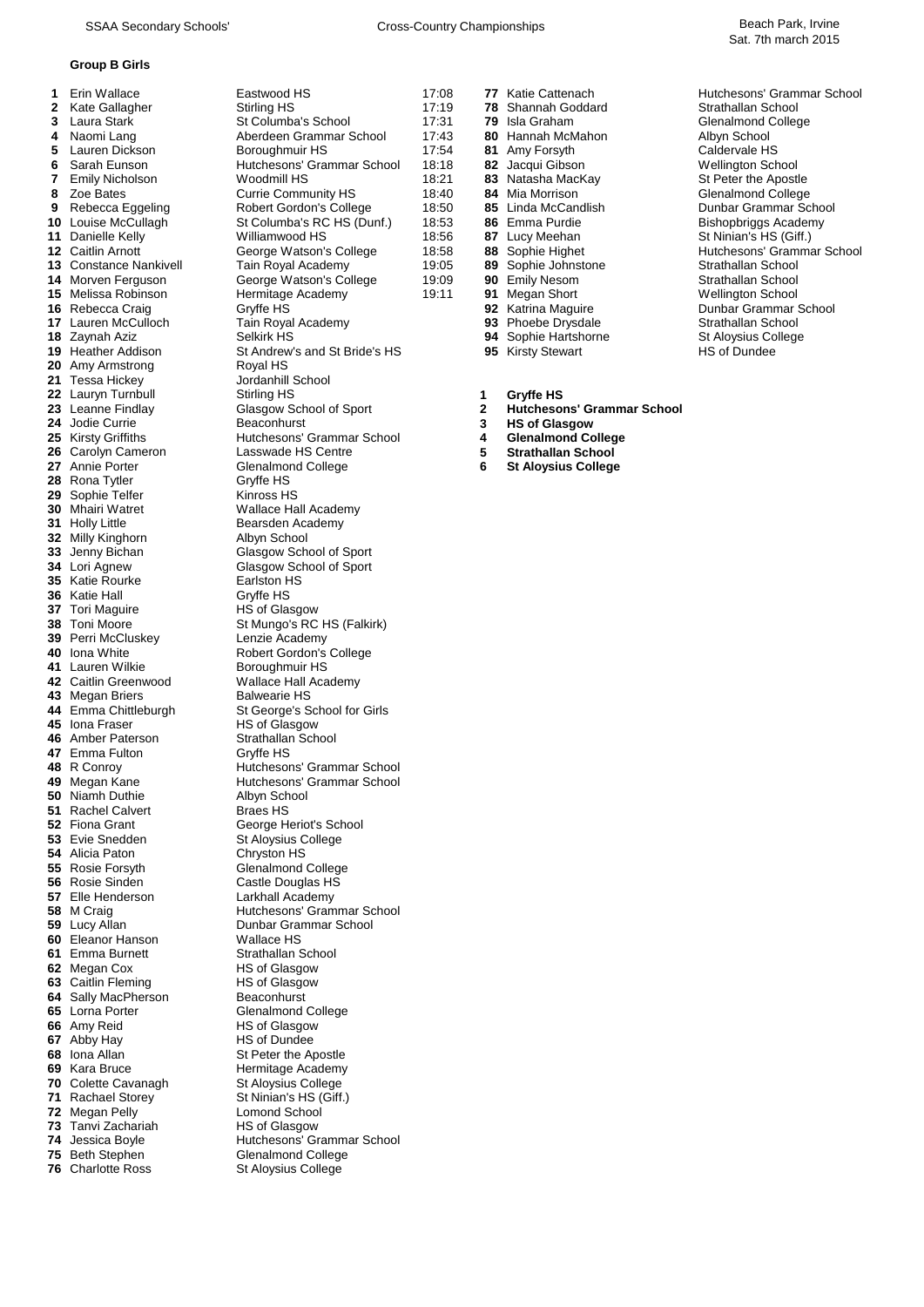## **Group B Girls**

| 1        | Erin Wallace                          | Eastwood HS                                       |
|----------|---------------------------------------|---------------------------------------------------|
| 2        | Kate Gallagher                        | Stirling HS                                       |
| 3        | Laura Stark                           | St Columba's School                               |
| 4        | Naomi Lang                            | Aberdeen Grammar Scho                             |
| 5        | Lauren Dickson                        | Boroughmuir HS                                    |
| 6        | Sarah Eunson                          | Hutchesons' Grammar So                            |
| 7        | <b>Emily Nicholson</b>                | Woodmill HS                                       |
| 8<br>9   | Zoe Bates                             | Currie Community HS                               |
| 10       | Rebecca Eggeling<br>Louise McCullagh  | Robert Gordon's College<br>St Columba's RC HS (Du |
| 11       | Danielle Kelly                        | Williamwood HS                                    |
| 12       | <b>Caitlin Arnott</b>                 | George Watson's College                           |
| 13       | <b>Constance Nankivell</b>            | Tain Royal Academy                                |
| 14       | Morven Ferguson                       | George Watson's College                           |
| 15       | Melissa Robinson                      | Hermitage Academy                                 |
| 16       | Rebecca Craig                         | Gryffe HS                                         |
| 17       | Lauren McCulloch                      | Tain Royal Academy                                |
| 18       | Zaynah Aziz                           | Selkirk HS                                        |
|          | 19 Heather Addison                    | St Andrew's and St Bride<br>Royal HS              |
| 21       | 20 Amy Armstrong<br>Tessa Hickey      | Jordanhill School                                 |
|          | 22 Lauryn Turnbull                    | Stirling HS                                       |
|          | 23 Leanne Findlay                     | Glasgow School of Sport                           |
|          | 24 Jodie Currie                       | Beaconhurst                                       |
|          | 25 Kirsty Griffiths                   | Hutchesons' Grammar So                            |
| 26       | Carolyn Cameron                       | Lasswade HS Centre                                |
| 27       | Annie Porter                          | Glenalmond College                                |
| 28       | Rona Tytler                           | Gryffe HS                                         |
|          | 29 Sophie Telfer                      | Kinross HS                                        |
| 30<br>31 | <b>Mhairi Watret</b>                  | <b>Wallace Hall Academy</b>                       |
| 32       | <b>Holly Little</b><br>Milly Kinghorn | Bearsden Academy<br>Albyn School                  |
| 33       | Jenny Bichan                          | Glasgow School of Sport                           |
| 34       | Lori Agnew                            | Glasgow School of Sport                           |
| 35       | Katie Rourke                          | Earlston HS                                       |
| 36       | Katie Hall                            | Gryffe HS                                         |
|          | 37 Tori Maguire                       | HS of Glasgow                                     |
|          | 38 Toni Moore                         | St Mungo's RC HS (Falki                           |
|          | 39 Perri McCluskey                    | Lenzie Academy                                    |
| 41       | 40 Iona White<br>Lauren Wilkie        | Robert Gordon's College<br>Boroughmuir HS         |
| 42       | Caitlin Greenwood                     | Wallace Hall Academy                              |
| 43       | Megan Briers                          | <b>Balwearie HS</b>                               |
|          | 44 Emma Chittleburgh                  | St George's School for G                          |
| 45       | Iona Fraser                           | HS of Glasgow                                     |
|          | 46 Amber Paterson                     | Strathallan School                                |
|          | 47 Emma Fulton                        | Gryffe HS                                         |
| 48       | R Conroy                              | Hutchesons' Grammar S                             |
| 50       | 49 Megan Kane<br>Niamh Duthie         | Hutchesons' Grammar So                            |
| 51       | <b>Rachel Calvert</b>                 | Albyn School<br><b>Braes HS</b>                   |
| 52       | Fiona Grant                           | George Heriot's School                            |
|          | 53 Evie Snedden                       | St Aloysius College                               |
| 54       | Alicia Paton                          | Chryston HS                                       |
| 55       | Rosie Forsyth                         | <b>Glenalmond College</b>                         |
| 56       | Rosie Sinden                          | Castle Douglas HS                                 |
| 57       | Elle Henderson                        | Larkhall Academy                                  |
| 58       | M Craig                               | Hutchesons' Grammar S                             |
| 59<br>60 | Lucy Allan<br>Eleanor Hanson          | Dunbar Grammar School<br>Wallace HS               |
| 61       | Emma Burnett                          | Strathallan School                                |
| 62       | Megan Cox                             | HS of Glasgow                                     |
| 63       | Caitlin Fleming                       | <b>HS of Glasgow</b>                              |
| 64       | Sally MacPherson                      | Beaconhurst                                       |
| 65       | Lorna Porter                          | <b>Glenalmond College</b>                         |
| 66       | Amy Reid                              | <b>HS of Glasgow</b>                              |
| 67       | Abby Hay                              | <b>HS of Dundee</b>                               |
|          | 68 Iona Allan                         | St Peter the Apostle                              |
| 69<br>70 | Kara Bruce<br>Colette Cavanagh        | Hermitage Academy<br>St Aloysius College          |
| 71       | Rachael Storey                        | St Ninian's HS (Giff.)                            |
| 72       | Megan Pelly                           | <b>Lomond School</b>                              |
|          | 73 Tanvi Zachariah                    | <b>HS of Glasgow</b>                              |
|          | 74 Jessica Boyle                      | Hutchesons' Grammar S                             |
|          | 75 Beth Stephen                       | <b>Glenalmond College</b>                         |
|          | <b>76 Charlotte Ross</b>              | St Alovsius College                               |

|              | <b>Group B Girls</b>                  |                                                |                |   |                                            |                                           |
|--------------|---------------------------------------|------------------------------------------------|----------------|---|--------------------------------------------|-------------------------------------------|
| 1.           | Erin Wallace                          | Eastwood HS                                    | 17:08          |   | 77 Katie Cattenach                         | Hutchesons' Grammar School                |
| $\mathbf{2}$ | Kate Gallagher                        | Stirling HS                                    | 17:19          |   | 78 Shannah Goddard                         | Strathallan School                        |
| 3            | Laura Stark                           | St Columba's School                            | 17:31          |   | 79 Isla Graham                             | Glenalmond College                        |
| 4<br>5       | Naomi Lang<br>Lauren Dickson          | Aberdeen Grammar School<br>Boroughmuir HS      | 17:43<br>17:54 |   | 80 Hannah McMahon                          | Albyn School                              |
| 6            | Sarah Eunson                          | Hutchesons' Grammar School                     | 18:18          |   | 81 Amy Forsyth<br>82 Jacqui Gibson         | Caldervale HS<br>Wellington School        |
| 7            | <b>Emily Nicholson</b>                | Woodmill HS                                    | 18:21          |   | 83 Natasha MacKay                          | St Peter the Apostle                      |
| 8            | Zoe Bates                             | <b>Currie Community HS</b>                     | 18:40          |   | 84 Mia Morrison                            | Glenalmond College                        |
|              | 9 Rebecca Eggeling                    | <b>Robert Gordon's College</b>                 | 18:50          |   | 85 Linda McCandlish                        | Dunbar Grammar School                     |
|              | <b>10</b> Louise McCullagh            | St Columba's RC HS (Dunf.)                     | 18:53          |   | 86 Emma Purdie                             | Bishopbriggs Academy                      |
|              | 11 Danielle Kelly                     | Williamwood HS                                 | 18:56          |   | 87 Lucy Meehan                             | St Ninian's HS (Giff.)                    |
|              | <b>12 Caitlin Arnott</b>              | George Watson's College                        | 18:58          |   | 88 Sophie Highet                           | Hutchesons' Grammar School                |
|              | <b>13 Constance Nankivell</b>         | Tain Royal Academy                             | 19:05          |   | 89 Sophie Johnstone                        | Strathallan School                        |
|              | 14 Morven Ferguson                    | George Watson's College                        | 19:09          |   | 90 Emily Nesom                             | Strathallan School                        |
|              | 15 Melissa Robinson                   | Hermitage Academy                              | 19:11          |   | 91 Megan Short                             | <b>Wellington School</b>                  |
|              | 16 Rebecca Craig                      | Gryffe HS                                      |                |   | 92 Katrina Maguire                         | Dunbar Grammar School                     |
|              | 17 Lauren McCulloch<br>18 Zaynah Aziz | Tain Royal Academy<br>Selkirk HS               |                |   | 93 Phoebe Drysdale<br>94 Sophie Hartshorne | Strathallan School<br>St Aloysius College |
|              | 19 Heather Addison                    | St Andrew's and St Bride's HS                  |                |   | 95 Kirsty Stewart                          | HS of Dundee                              |
|              | 20 Amy Armstrong                      | Royal HS                                       |                |   |                                            |                                           |
|              | 21 Tessa Hickey                       | Jordanhill School                              |                |   |                                            |                                           |
|              | 22 Lauryn Turnbull                    | Stirling HS                                    |                | 1 | Gryffe HS                                  |                                           |
|              | 23 Leanne Findlay                     | Glasgow School of Sport                        |                | 2 | <b>Hutchesons' Grammar School</b>          |                                           |
|              | 24 Jodie Currie                       | Beaconhurst                                    |                | 3 | <b>HS of Glasgow</b>                       |                                           |
|              | <b>25</b> Kirsty Griffiths            | Hutchesons' Grammar School                     |                | 4 | <b>Glenalmond College</b>                  |                                           |
|              | 26 Carolyn Cameron                    | Lasswade HS Centre                             |                | 5 | <b>Strathallan School</b>                  |                                           |
|              | 27 Annie Porter                       | Glenalmond College                             |                | 6 | <b>St Aloysius College</b>                 |                                           |
|              | 28 Rona Tytler<br>29 Sophie Telfer    | Gryffe HS                                      |                |   |                                            |                                           |
|              | 30 Mhairi Watret                      | Kinross HS<br>Wallace Hall Academy             |                |   |                                            |                                           |
|              | <b>31</b> Holly Little                | Bearsden Academy                               |                |   |                                            |                                           |
|              | 32 Milly Kinghorn                     | Albyn School                                   |                |   |                                            |                                           |
|              | 33 Jenny Bichan                       | Glasgow School of Sport                        |                |   |                                            |                                           |
|              | 34 Lori Agnew                         | Glasgow School of Sport                        |                |   |                                            |                                           |
|              | 35 Katie Rourke                       | Earlston HS                                    |                |   |                                            |                                           |
|              | 36 Katie Hall                         | Gryffe HS                                      |                |   |                                            |                                           |
|              | 37 Tori Maguire                       | HS of Glasgow                                  |                |   |                                            |                                           |
|              | 38 Toni Moore<br>39 Perri McCluskey   | St Mungo's RC HS (Falkirk)                     |                |   |                                            |                                           |
|              | 40 Iona White                         | Lenzie Academy<br>Robert Gordon's College      |                |   |                                            |                                           |
|              | 41 Lauren Wilkie                      | Boroughmuir HS                                 |                |   |                                            |                                           |
|              | 42 Caitlin Greenwood                  | Wallace Hall Academy                           |                |   |                                            |                                           |
|              | 43 Megan Briers                       | <b>Balwearie HS</b>                            |                |   |                                            |                                           |
|              | 44 Emma Chittleburgh                  | St George's School for Girls                   |                |   |                                            |                                           |
|              | 45 Iona Fraser                        | HS of Glasgow                                  |                |   |                                            |                                           |
|              | 46 Amber Paterson                     | Strathallan School                             |                |   |                                            |                                           |
|              | 47 Emma Fulton                        | Gryffe HS<br>Hutchesons' Grammar School        |                |   |                                            |                                           |
|              | 48 R Conroy<br>49 Megan Kane          | Hutchesons' Grammar School                     |                |   |                                            |                                           |
|              | 50 Niamh Duthie                       | Albyn School                                   |                |   |                                            |                                           |
|              | 51 Rachel Calvert                     | <b>Braes HS</b>                                |                |   |                                            |                                           |
|              | 52 Fiona Grant                        | George Heriot's School                         |                |   |                                            |                                           |
|              | 53 Evie Snedden                       | St Aloysius College                            |                |   |                                            |                                           |
|              | 54 Alicia Paton                       | Chryston HS                                    |                |   |                                            |                                           |
|              | 55 Rosie Forsyth                      | <b>Glenalmond College</b>                      |                |   |                                            |                                           |
|              | 56 Rosie Sinden                       | Castle Douglas HS                              |                |   |                                            |                                           |
|              | 57 Elle Henderson<br>58 M Craig       | Larkhall Academy<br>Hutchesons' Grammar School |                |   |                                            |                                           |
|              | 59 Lucy Allan                         | Dunbar Grammar School                          |                |   |                                            |                                           |
|              | 60 Eleanor Hanson                     | Wallace HS                                     |                |   |                                            |                                           |
|              | 61 Emma Burnett                       | Strathallan School                             |                |   |                                            |                                           |
|              | 62 Megan Cox                          | <b>HS of Glasgow</b>                           |                |   |                                            |                                           |
|              | 63 Caitlin Fleming                    | <b>HS of Glasgow</b>                           |                |   |                                            |                                           |
|              | 64 Sally MacPherson                   | Beaconhurst                                    |                |   |                                            |                                           |
|              | 65 Lorna Porter                       | Glenalmond College                             |                |   |                                            |                                           |
|              | 66 Amy Reid                           | HS of Glasgow                                  |                |   |                                            |                                           |
|              | 67 Abby Hay                           | HS of Dundee                                   |                |   |                                            |                                           |
|              | 68 Iona Allan<br>69 Kara Bruce        | St Peter the Apostle<br>Hermitage Academy      |                |   |                                            |                                           |
|              | 70 Colette Cavanagh                   | St Aloysius College                            |                |   |                                            |                                           |
|              | 71 Rachael Storey                     | St Ninian's HS (Giff.)                         |                |   |                                            |                                           |

St Aloysius College

Hutchesons' Grammar School

|       | 1  | Gryffe HS             |                            |
|-------|----|-----------------------|----------------------------|
|       |    |                       |                            |
|       | 95 | <b>Kirsty Stewart</b> | <b>HS of Dundee</b>        |
|       | 94 | Sophie Hartshorne     | St Aloysius College        |
|       | 93 | Phoebe Drysdale       | Strathallan School         |
|       | 92 | Katrina Maguire       | Dunbar Grammar Sc          |
| 19:11 | 91 | Megan Short           | <b>Wellington School</b>   |
| 19:09 | 90 | <b>Emily Nesom</b>    | Strathallan School         |
| 19:05 | 89 | Sophie Johnstone      | Strathallan School         |
| 18:58 | 88 | Sophie Highet         | Hutchesons' Gramma         |
| 18:56 | 87 | Lucy Meehan           | St Ninian's HS (Giff.)     |
| 18:53 | 86 | Emma Purdie           | <b>Bishopbriggs Acaden</b> |
| 18:50 | 85 | Linda McCandlish      | Dunbar Grammar Sc          |
| 18:40 | 84 | Mia Morrison          | Glenalmond College         |
| 18:21 |    | 83 Natasha MacKay     | St Peter the Apostle       |
| 18:18 | 82 | Jacqui Gibson         | <b>Wellington School</b>   |
| 17:54 | 81 | Amy Forsyth           | Caldervale HS              |
| 17:43 | 80 | Hannah McMahon        | Albyn School               |
| 17:31 | 79 | Isla Graham           | Glenalmond College         |
| 17:19 | 78 | Shannah Goddard       | Strathallan School         |
| 17:08 | 77 | Katie Cattenach       | Hutchesons' Gramma         |
|       |    |                       |                            |

- **2** Hutchesons' Grammar School<br>3 HS of Glasgow
- 
- 
- **26 Strathallan School<br>
<b>26** St Aloysius College
- $St$  Aloysius College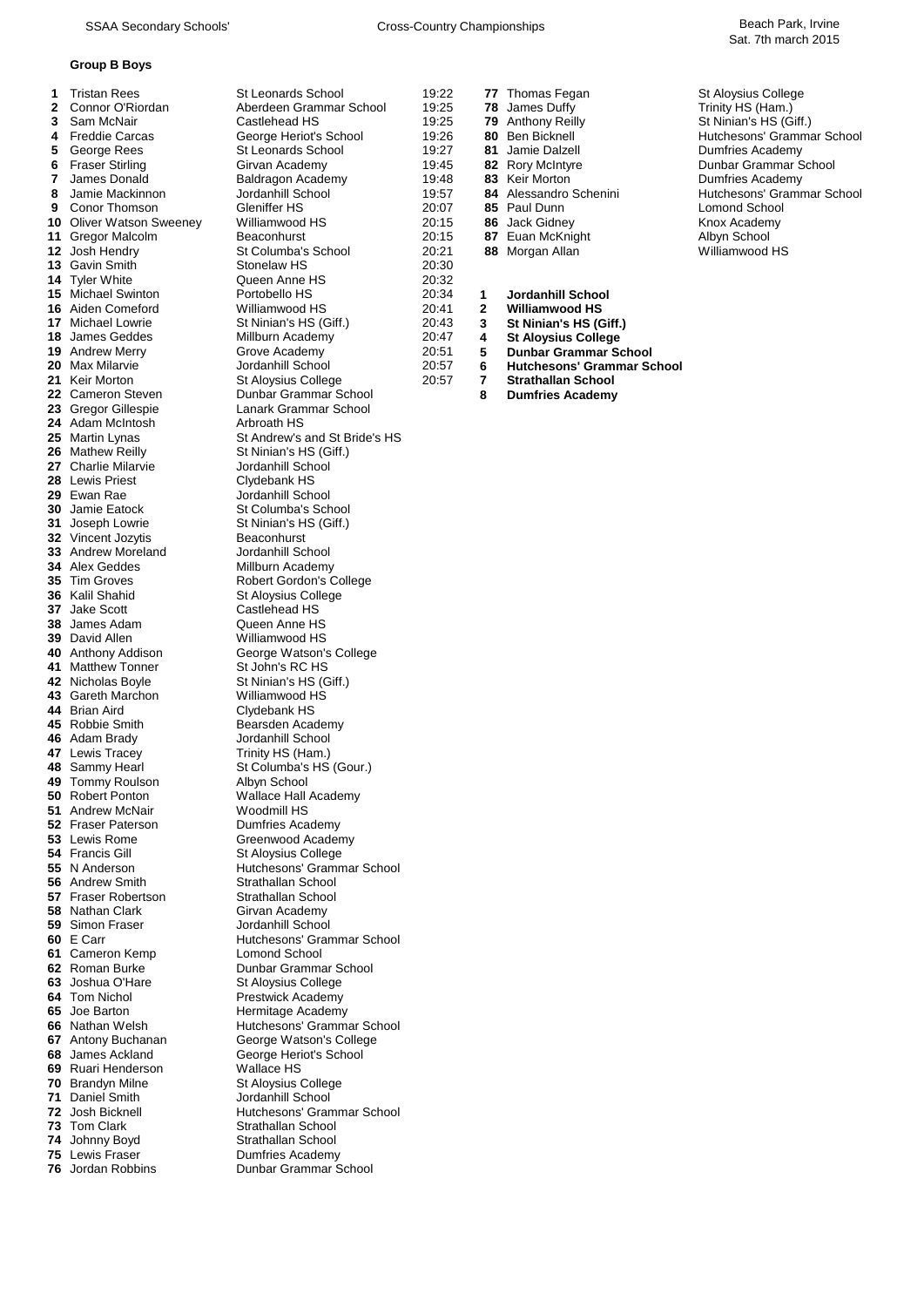#### **Group B Boys**

 George Rees St Leonards School **6**<br>**6** Fraser Stirling **81** Girvan Academy Gavin Smith **14** Tyler White Tyler White **Cause Anne HS**<br>**15** Michael Swinton **Contract Portobello HS**  Max Milarvie **1988 10** Jordanhill School 21 Keir Morton Adam McIntosh<br>**25** Martin Lynas Mathew Reilly **27** Charlie Milarvie **St Ninian's HS (Giff.)** School **27** Charlie Milarvie Lewis Priest Ewan Rae **1988** Jordanhill School<br>**30** Jamie Eatock **1988** St Columba's School Jamie Eatock St Columba's School<br>
Joseph Lowrie St Ninian's HS (Giff.) Joseph Lowrie St Ninian's HS (Giff.) Vincent Jozytis Beaconhurst<br> **33** Andrew Moreland Jordanhill School Andrew Moreland<br>**34** Alex Geddes Alex Geddes **Millburn Academy**<br>**35** Tim Groves **Robert Gordon's Community**  Tim Groves Robert Gordon's College<br> **36** Kalil Shahid St Aloysius College Kalil Shahid St Aloysius College<br>
Jake Scott Castlehead HS Jake Scott **Castlehead HS**<br> **38** James Adam **Cueen Anne HS**  James Adam<br>**39** David Allen David Allen Williamwood HS<br>**40** Anthony Addison George Watson's 41 Matthew Tonner St John's RC HS Nicholas Boyle St Ninian's HS (Giff.) Gareth Marchon Williamwood HS<br>**44** Brian Aird **March Clydebank HS**  Brian Aird **Clydebank HS**<br>**45** Robbie Smith **Clube Bearsden Academy**  Robbie Smith **Bearsden Academy**<br>**46** Adam Brady **Bearst Accord Academy** Jordanhill School Adam Brady **1988** Jordanhill School<br>
Lewis Tracey **1988** Trinity HS (Ham.) Lewis Tracey **Trinity HS** (Ham.) Sammy Hearl St Columba's HS (Gour.)<br>**49** Tommy Roulson Albyn School 49 Tommy Roulson Robert Ponton **1988** Wallace Hall Academy<br>**51** Andrew McNair **Woodmill HS**  Andrew McNair<br>**52** Fraser Paterson Fraser Paterson **Dumfries Academy**<br> **53** Lewis Rome **Constant Constructs** Greenwood Academy Francis Gill **St Aloysius College**<br>**55** N Anderson **St Alternative Hutchesons' Gramm**  N Anderson **Hutchesons' Grammar School**<br> **56** Andrew Smith Strathellan School Fraser Robertson **Strathallan School**<br>**58** Nathan Clark **Strathallan School**<br>Girvan Academy Nathan Clark Girvan Academy<br>**59** Simon Fraser **Girls** Jordanhill School Simon Fraser E Carr **Figure 10 E Carr Figure 10 Hutchesons' Grammar School 61 Cameron Kemp**  Cameron Kemp<br>**62** Roman Burke Roman Burke **Comman Burke Burke Burke Dunbar Grammar School**<br> **622 St Aloysius College**  Joshua O'Hare St Aloysius College<br> **64** Tom Nichol **State Burney Prestwick Academy**  Tom Nichol **Prestwick Academy**<br>**65** Joe Barton **Property Academy** Hermitage Academy Joe Barton **1986** Hermitage Academy<br> **66** Nathan Welsh Hutchesons' Gramma Antony Buchanan **George Watson's College**<br> **68** James Ackland **George Heriot's School**  James Ackland **George Heriot's School**<br> **69** Ruari Henderson **Mallace HS**  Ruari Henderson<br>**70** Brandyn Milne Daniel Smith<br>**72** Josh Bicknell Josh Bicknell **Hutchesons' Grammar School**<br>**73** Tom Clark **Hutch** Strathallan School Johnny Boyd Strathallan School Lewis Fraser **Dumfries Academy** 

| 76 Jordan Robbins |
|-------------------|
|-------------------|

1 Tristan Rees St Leonards School 19:22 77 Thomas Fegan St Aloysius College 2 Connor O'Riordan **19:25 2 Connor O'Riordan** Aberdeen Grammar School 19:25 **78** James Duffy **Trinity HS (Ham.)**<br>2 Sam McNair Castlehead HS 19:25 **79** Anthony Reilly St Ninian's HS (G Sam McNair **Castlehead HS** 19:25 **79** Anthony Reilly St Ninian's HS (Giff.)<br>19:26 **80** Ben Bicknell Structure Currenors Gramma Freddie Carcas **George Heriot's School** 19:26 **80** Ben Bicknell **19:26 80** Ben Bicknell Hutchesons' Grammar School **5** George Rees St Leonards School 19:27 **81** Jamie Dalzell **Bullet Butchesons' Grammar School**  Fraser Stirling **6 Community Community Community Community Community Community Community Community Community Community James Dunbar Grammar School <b>7** James Donald Baldragon Academy 19:48 **83** Keir Morton **Community Co**  James Donald **818** Baldragon Academy 19:48 **83** Keir Morton **8** Jamie Mackinnon Dumfries Academy 19:57 **84** Alessandro Schenini 8 Jamie Mackinnon Jordanhill School 19:57 **84** Alessandro Schenini Hutchesons' Grammar School Conor Thomson Gleniffer HS 20:07 **85** Paul Dunn Lomond School Oliver Watson Sweeney Milliamwood HS 20:15 **86** Jack Gidney **Acking the Struck Academy**<br>**11** Gregor Malcolm Beaconhurst 20:15 **87** Euan McKnight Albyn School Gregor Malcolm <sup>1</sup> Beaconhurst 20:15 **87** Euan McKnight Albyn School<br>**12** Josh Hendry St Columba's School 20:21 **88** Morgan Allan 12 Josh Hendry Williamwood HS Josh Hendry St Columba's School 20:21 **88** Morgan Allan Williamwood HS Michael Swinton Portobello HS 20:34 **1 Jordanhill School** Aiden Comeford Williamwood HS 20:41 **2 Williamwood HS 17 St Ninian's HS (Giff.)** Millburn Academy James Geddes Millburn Academy 20:47 **4 St Aloysius College** Andrew Merry Grove Academy 20:51 **5 Dunbar Grammar School** Keir Morton **20:57** St Aloysius College **20:57 7** Strathallan School<br>**22** Cameron Steven **22** Cameron Steven **B** Dumfries Academy Cameron Steven Dunbar Grammar School **8 Dumfries Academy** Lanark Grammar School<br>Arbroath HS St Andrew's and St Bride's HS Jordanhill School **George Watson's College Greenwood Academy Strathallan School**  Nathan Welsh Hutchesons' Grammar School *St Aloysius College*<br>Jordanhill School *<u>Strathallan School</u>* 

**76** Jordan Robbins Dunbar Grammar School

| 19:22<br>19:25<br>19:25<br>19:26<br>19:27<br>19:45<br>19:48<br>19:57<br>20:07<br>20:15<br>20:15<br>20:21<br>20:30<br>20:32<br>20:34<br>20:41<br>20:43<br>20:47<br>20:51<br>20:57<br>20:57 | 77<br>78<br>79<br>80<br>81<br>82<br>83<br>84<br>85<br>86<br>87<br>88<br>1<br>$\overline{2}$<br>3<br>4<br>5<br>6<br>7<br>8 | Thomas Fegan<br>James Duffy<br>Anthony Reilly<br><b>Ben Bicknell</b><br>Jamie Dalzell<br>Rory McIntyre<br>Keir Morton<br>Alessandro Sch<br>Paul Dunn<br><b>Jack Gidney</b><br>Euan McKnight<br>Morgan Allan<br>Jordanhill Sch<br>Williamwood H<br><b>St Ninian's HS</b><br><b>St Aloysius Co</b><br><b>Dunbar Gramm</b><br><b>Hutchesons' G</b><br><b>Strathallan Sch</b><br><b>Dumfries Acad</b> |
|-------------------------------------------------------------------------------------------------------------------------------------------------------------------------------------------|---------------------------------------------------------------------------------------------------------------------------|---------------------------------------------------------------------------------------------------------------------------------------------------------------------------------------------------------------------------------------------------------------------------------------------------------------------------------------------------------------------------------------------------|
|                                                                                                                                                                                           |                                                                                                                           |                                                                                                                                                                                                                                                                                                                                                                                                   |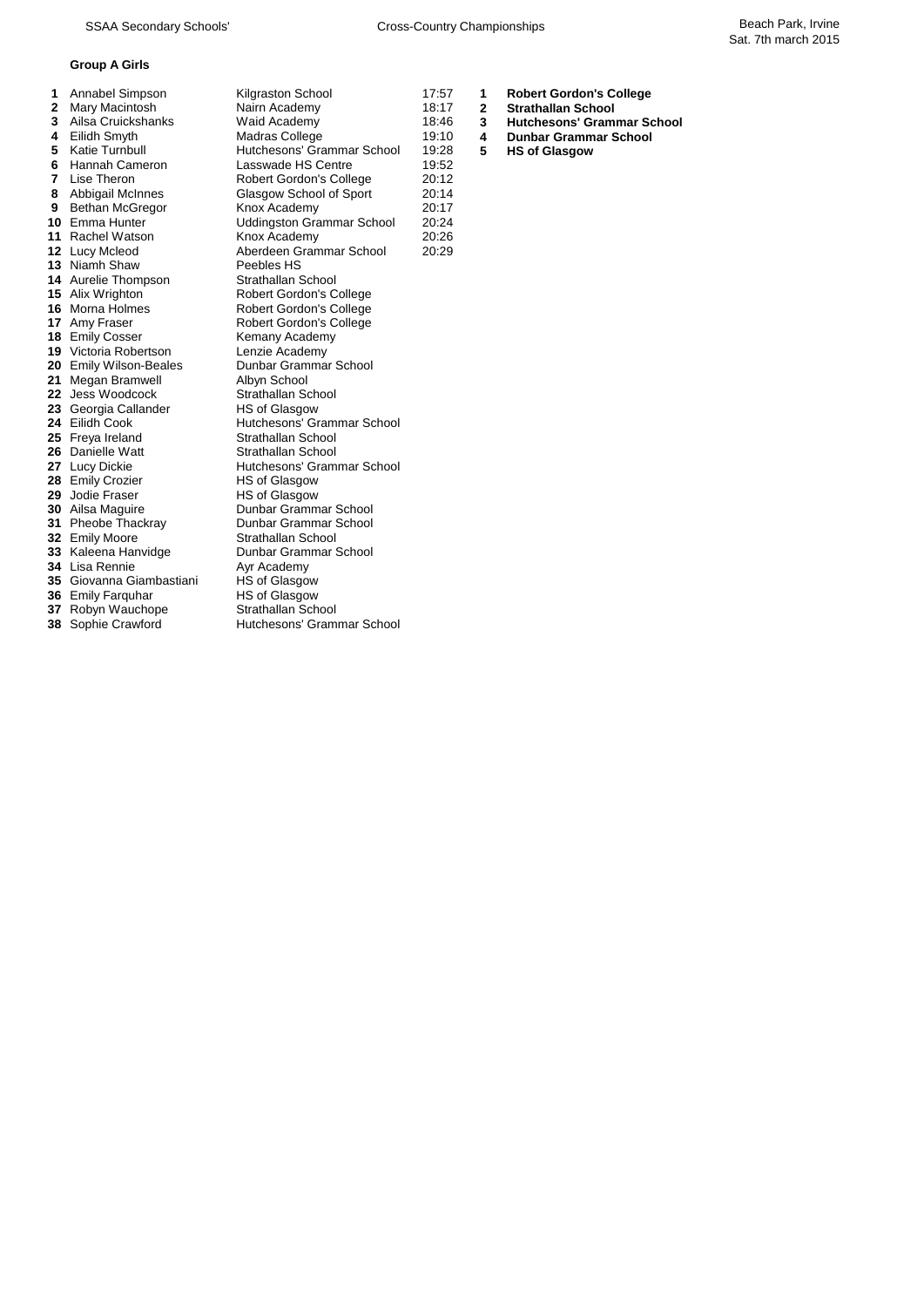## **Group A Girls**

| 1  | Annabel Simpson              | Kilgraston School                | 17:57 | 1            | <b>Robert Gordon's College</b>    |
|----|------------------------------|----------------------------------|-------|--------------|-----------------------------------|
| 2  | Mary Macintosh               | Nairn Academy                    | 18:17 | $\mathbf{2}$ | <b>Strathallan School</b>         |
| 3  | Ailsa Cruickshanks           | Waid Academy                     | 18:46 | 3            | <b>Hutchesons' Grammar School</b> |
| 4  | Eilidh Smyth                 | Madras College                   | 19:10 | 4            | <b>Dunbar Grammar School</b>      |
| 5  | Katie Turnbull               | Hutchesons' Grammar School       | 19:28 | 5            | <b>HS of Glasgow</b>              |
| 6  | <b>Hannah Cameron</b>        | Lasswade HS Centre               | 19:52 |              |                                   |
| 7  | Lise Theron                  | <b>Robert Gordon's College</b>   | 20:12 |              |                                   |
| 8  | Abbigail McInnes             | Glasgow School of Sport          | 20:14 |              |                                   |
| 9  | <b>Bethan McGregor</b>       | Knox Academy                     | 20:17 |              |                                   |
| 10 | Emma Hunter                  | <b>Uddingston Grammar School</b> | 20:24 |              |                                   |
|    | 11 Rachel Watson             | Knox Academy                     | 20:26 |              |                                   |
|    | 12 Lucy Mcleod               | Aberdeen Grammar School          | 20:29 |              |                                   |
|    | 13 Niamh Shaw                | Peebles HS                       |       |              |                                   |
|    | <b>14</b> Aurelie Thompson   | Strathallan School               |       |              |                                   |
|    | <b>15</b> Alix Wrighton      | Robert Gordon's College          |       |              |                                   |
|    | 16 Morna Holmes              | <b>Robert Gordon's College</b>   |       |              |                                   |
|    | 17 Amy Fraser                | Robert Gordon's College          |       |              |                                   |
|    | 18 Emily Cosser              | Kemany Academy                   |       |              |                                   |
|    | <b>19</b> Victoria Robertson | Lenzie Academy                   |       |              |                                   |
|    | 20 Emily Wilson-Beales       | Dunbar Grammar School            |       |              |                                   |
| 21 | Megan Bramwell               | Albyn School                     |       |              |                                   |
|    | 22 Jess Woodcock             | Strathallan School               |       |              |                                   |
|    | 23 Georgia Callander         | <b>HS of Glasgow</b>             |       |              |                                   |
|    | 24 Eilidh Cook               | Hutchesons' Grammar School       |       |              |                                   |
|    | 25 Freya Ireland             | Strathallan School               |       |              |                                   |
| 26 | Danielle Watt                | Strathallan School               |       |              |                                   |
|    | 27 Lucy Dickie               | Hutchesons' Grammar School       |       |              |                                   |
| 28 | <b>Emily Crozier</b>         | HS of Glasgow                    |       |              |                                   |
|    | 29 Jodie Fraser              | HS of Glasgow                    |       |              |                                   |
|    | 30 Ailsa Maguire             | Dunbar Grammar School            |       |              |                                   |
|    | <b>31</b> Pheobe Thackray    | Dunbar Grammar School            |       |              |                                   |
|    | 32 Emily Moore               | Strathallan School               |       |              |                                   |
|    | 33 Kaleena Hanvidge          | Dunbar Grammar School            |       |              |                                   |
|    | 34 Lisa Rennie               | Ayr Academy                      |       |              |                                   |
|    | 35 Giovanna Giambastiani     | <b>HS of Glasgow</b>             |       |              |                                   |
|    | 36 Emily Farguhar            | <b>HS of Glasgow</b>             |       |              |                                   |
|    | 37 Robyn Wauchope            | Strathallan School               |       |              |                                   |
|    | <b>38</b> Sophie Crawford    | Hutchesons' Grammar School       |       |              |                                   |

- **1** Robert Gordon's College<br>7. 2: Strathallan School
	-
	-
- -